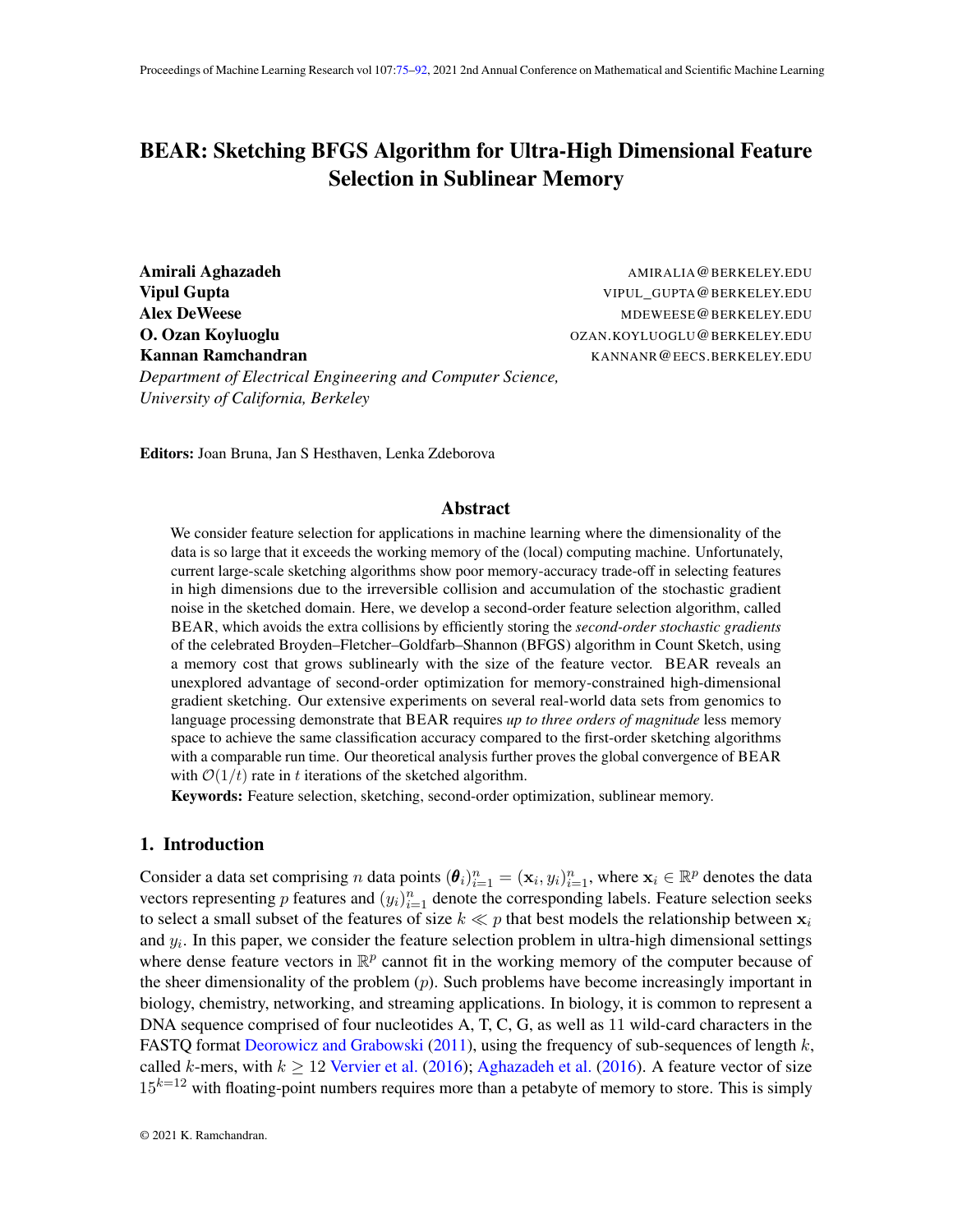# <span id="page-0-0"></span>BEAR: Sketching BFGS Algorithm for Ultra-High Dimensional Feature Selection in Sublinear Memory

Amirali Aghazadeh AMIRALIA@BERKELEY.EDU **Vipul Gupta** VIPUL GUPTA@BERKELEY.EDU Alex DeWeese Management of the MDEWEESE CONTROL MENT AND MONET AND MORE AND MORE AND MORE AND MORE AND MORE AND MORE AND MORE AND MORE AND MORE AND MORE AND MORE AND MORE AND MORE AND MORE AND MORE AND MORE AND MORE AND MO O. Ozan Koyluoglu OZAN.KOYLUOGLU@BERKELEY.EDU Kannan Ramchandran Kannan KANNANR@EECS.BERKELEY.EDU *Department of Electrical Engineering and Computer Science, University of California, Berkeley*

Editors: Joan Bruna, Jan S Hesthaven, Lenka Zdeborova

### Abstract

We consider feature selection for applications in machine learning where the dimensionality of the data is so large that it exceeds the working memory of the (local) computing machine. Unfortunately, current large-scale sketching algorithms show poor memory-accuracy trade-off in selecting features in high dimensions due to the irreversible collision and accumulation of the stochastic gradient noise in the sketched domain. Here, we develop a second-order feature selection algorithm, called BEAR, which avoids the extra collisions by efficiently storing the *second-order stochastic gradients* of the celebrated Broyden–Fletcher–Goldfarb–Shannon (BFGS) algorithm in Count Sketch, using a memory cost that grows sublinearly with the size of the feature vector. BEAR reveals an unexplored advantage of second-order optimization for memory-constrained high-dimensional gradient sketching. Our extensive experiments on several real-world data sets from genomics to language processing demonstrate that BEAR requires *up to three orders of magnitude* less memory space to achieve the same classification accuracy compared to the first-order sketching algorithms with a comparable run time. Our theoretical analysis further proves the global convergence of BEAR with  $\mathcal{O}(1/t)$  rate in t iterations of the sketched algorithm.

Keywords: Feature selection, sketching, second-order optimization, sublinear memory.

### 1. Introduction

Consider a data set comprising *n* data points  $(\theta_i)_{i=1}^n = (\mathbf{x}_i, y_i)_{i=1}^n$ , where  $\mathbf{x}_i \in \mathbb{R}^p$  denotes the data vectors representing p features and  $(y_i)_{i=1}^n$  denote the corresponding labels. Feature selection seeks to select a small subset of the features of size  $k \ll p$  that best models the relationship between  $x_i$ and  $y_i$ . In this paper, we consider the feature selection problem in ultra-high dimensional settings where dense feature vectors in  $\mathbb{R}^p$  cannot fit in the working memory of the computer because of the sheer dimensionality of the problem  $(p)$ . Such problems have become increasingly important in biology, chemistry, networking, and streaming applications. In biology, it is common to represent a DNA sequence comprised of four nucleotides A, T, C, G, as well as 11 wild-card characters in the FASTO format [Deorowicz and Grabowski](#page-16-0) [\(2011\)](#page-16-0), using the frequency of sub-sequences of length  $k$ , called k-mers, with  $k \ge 12$  [Vervier et al.](#page-16-1) [\(2016\)](#page-15-0); [Aghazadeh et al.](#page-15-0) (2016). A feature vector of size  $15^{k=12}$  with floating-point numbers requires more than a petabyte of memory to store. This is simply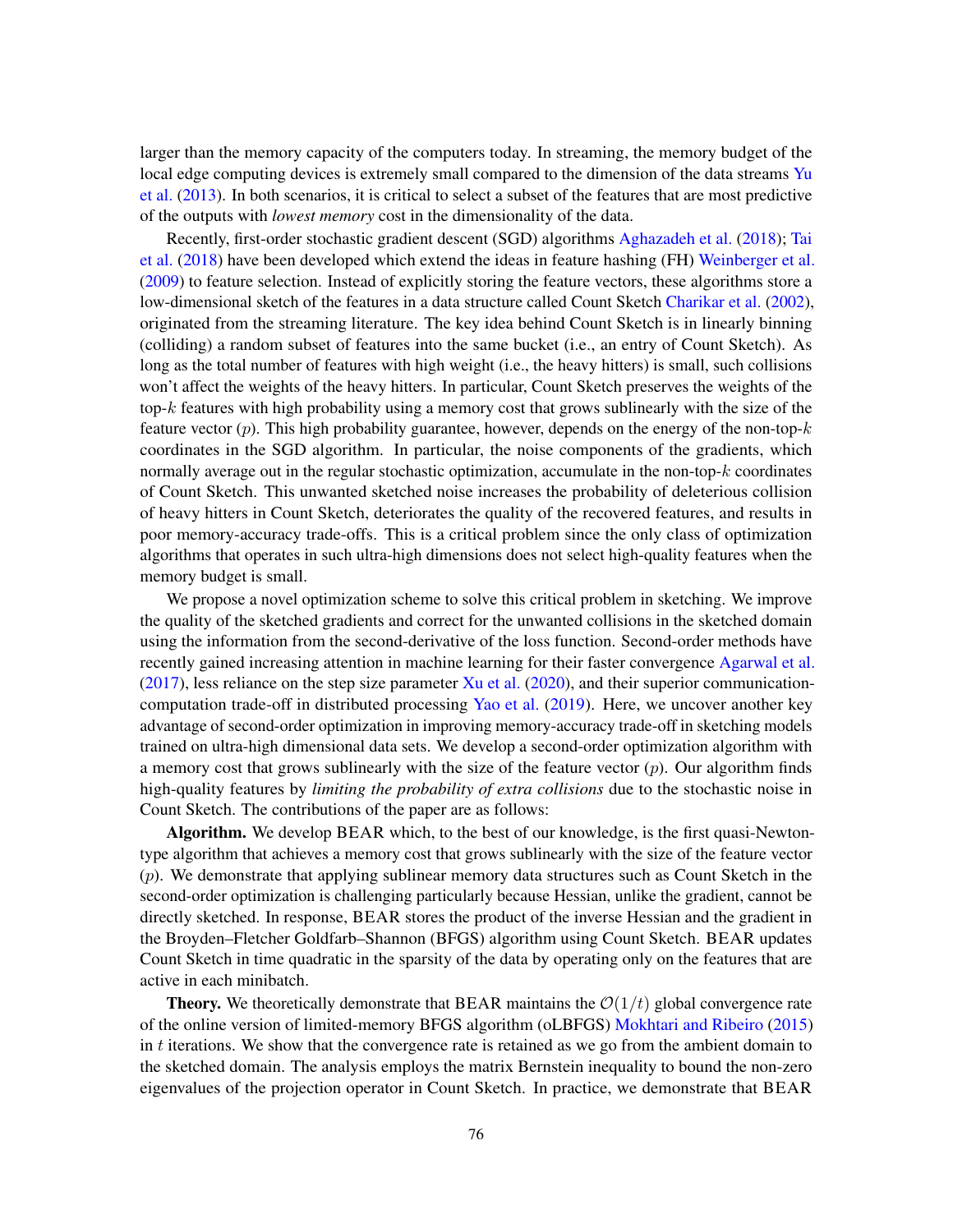larger than the memory capacity of the computers today. In streaming, the memory budget of the local edge computing devices is extremely small compared to the dimension of the data streams [Yu](#page-17-1) [et al.](#page-17-1) [\(2013\)](#page-17-1). In both scenarios, it is critical to select a subset of the features that are most predictive of the outputs with *lowest memory* cost in the dimensionality of the data.

Recently, first-order stochastic gradient descent (SGD) algorithms [Aghazadeh et al.](#page-16-2) [\(2018\)](#page-16-2); [Tai](#page-16-3) [et al.](#page-16-3) [\(2018\)](#page-16-3) have been developed which extend the ideas in feature hashing (FH) [Weinberger et al.](#page-17-2) [\(2009\)](#page-17-2) to feature selection. Instead of explicitly storing the feature vectors, these algorithms store a low-dimensional sketch of the features in a data structure called Count Sketch [Charikar et al.](#page-16-4) [\(2002\)](#page-16-4), originated from the streaming literature. The key idea behind Count Sketch is in linearly binning (colliding) a random subset of features into the same bucket (i.e., an entry of Count Sketch). As long as the total number of features with high weight (i.e., the heavy hitters) is small, such collisions won't affect the weights of the heavy hitters. In particular, Count Sketch preserves the weights of the top-k features with high probability using a memory cost that grows sublinearly with the size of the feature vector  $(p)$ . This high probability guarantee, however, depends on the energy of the non-top- $k$ coordinates in the SGD algorithm. In particular, the noise components of the gradients, which normally average out in the regular stochastic optimization, accumulate in the non-top- $k$  coordinates of Count Sketch. This unwanted sketched noise increases the probability of deleterious collision of heavy hitters in Count Sketch, deteriorates the quality of the recovered features, and results in poor memory-accuracy trade-offs. This is a critical problem since the only class of optimization algorithms that operates in such ultra-high dimensions does not select high-quality features when the memory budget is small.

We propose a novel optimization scheme to solve this critical problem in sketching. We improve the quality of the sketched gradients and correct for the unwanted collisions in the sketched domain using the information from the second-derivative of the loss function. Second-order methods have recently gained increasing attention in machine learning for their faster convergence [Agarwal et al.](#page-15-1)  $(2017)$ , less reliance on the step size parameter [Xu et al.](#page-17-3)  $(2020)$ , and their superior communicationcomputation trade-off in distributed processing [Yao et al.](#page-17-4) [\(2019\)](#page-17-4). Here, we uncover another key advantage of second-order optimization in improving memory-accuracy trade-off in sketching models trained on ultra-high dimensional data sets. We develop a second-order optimization algorithm with a memory cost that grows sublinearly with the size of the feature vector  $(p)$ . Our algorithm finds high-quality features by *limiting the probability of extra collisions* due to the stochastic noise in Count Sketch. The contributions of the paper are as follows:

Algorithm. We develop BEAR which, to the best of our knowledge, is the first quasi-Newtontype algorithm that achieves a memory cost that grows sublinearly with the size of the feature vector  $(p)$ . We demonstrate that applying sublinear memory data structures such as Count Sketch in the second-order optimization is challenging particularly because Hessian, unlike the gradient, cannot be directly sketched. In response, BEAR stores the product of the inverse Hessian and the gradient in the Broyden–Fletcher Goldfarb–Shannon (BFGS) algorithm using Count Sketch. BEAR updates Count Sketch in time quadratic in the sparsity of the data by operating only on the features that are active in each minibatch.

**Theory.** We theoretically demonstrate that BEAR maintains the  $O(1/t)$  global convergence rate of the online version of limited-memory BFGS algorithm (oLBFGS) [Mokhtari and Ribeiro](#page-16-5) [\(2015\)](#page-16-5) in  $t$  iterations. We show that the convergence rate is retained as we go from the ambient domain to the sketched domain. The analysis employs the matrix Bernstein inequality to bound the non-zero eigenvalues of the projection operator in Count Sketch. In practice, we demonstrate that BEAR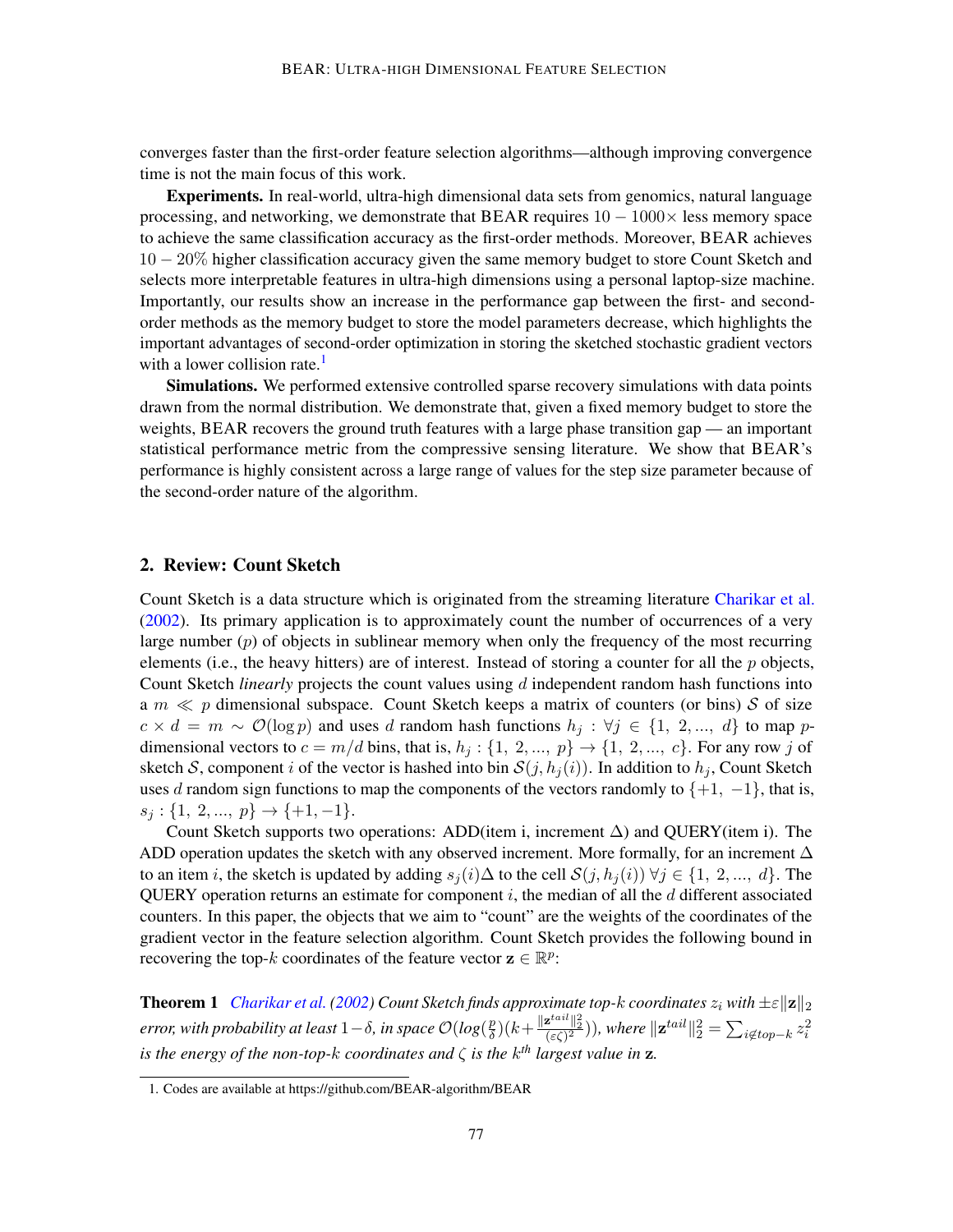converges faster than the first-order feature selection algorithms—although improving convergence time is not the main focus of this work.

Experiments. In real-world, ultra-high dimensional data sets from genomics, natural language processing, and networking, we demonstrate that BEAR requires  $10 - 1000 \times$  less memory space to achieve the same classification accuracy as the first-order methods. Moreover, BEAR achieves 10 − 20% higher classification accuracy given the same memory budget to store Count Sketch and selects more interpretable features in ultra-high dimensions using a personal laptop-size machine. Importantly, our results show an increase in the performance gap between the first- and secondorder methods as the memory budget to store the model parameters decrease, which highlights the important advantages of second-order optimization in storing the sketched stochastic gradient vectors with a lower collision rate.<sup>[1](#page-2-0)</sup>

Simulations. We performed extensive controlled sparse recovery simulations with data points drawn from the normal distribution. We demonstrate that, given a fixed memory budget to store the weights, BEAR recovers the ground truth features with a large phase transition gap — an important statistical performance metric from the compressive sensing literature. We show that BEAR's performance is highly consistent across a large range of values for the step size parameter because of the second-order nature of the algorithm.

### 2. Review: Count Sketch

Count Sketch is a data structure which is originated from the streaming literature [Charikar et al.](#page-16-4) [\(2002\)](#page-16-4). Its primary application is to approximately count the number of occurrences of a very large number  $(p)$  of objects in sublinear memory when only the frequency of the most recurring elements (i.e., the heavy hitters) are of interest. Instead of storing a counter for all the  $p$  objects, Count Sketch *linearly* projects the count values using d independent random hash functions into a  $m \ll p$  dimensional subspace. Count Sketch keeps a matrix of counters (or bins) S of size  $c \times d = m \sim \mathcal{O}(\log p)$  and uses d random hash functions  $h_j : \forall j \in \{1, 2, ..., d\}$  to map pdimensional vectors to  $c = m/d$  bins, that is,  $h_j: \{1, 2, ..., p\} \rightarrow \{1, 2, ..., c\}$ . For any row j of sketch S, component i of the vector is hashed into bin  $S(j, h_i(i))$ . In addition to  $h_i$ , Count Sketch uses d random sign functions to map the components of the vectors randomly to  $\{+1, -1\}$ , that is,  $s_j: \{1, 2, ..., p\} \rightarrow \{+1, -1\}.$ 

Count Sketch supports two operations: ADD(item i, increment  $\Delta$ ) and QUERY(item i). The ADD operation updates the sketch with any observed increment. More formally, for an increment  $\Delta$ to an item i, the sketch is updated by adding  $s_i(i) \Delta$  to the cell  $\mathcal{S}(i, h_i(i)) \forall i \in \{1, 2, ..., d\}$ . The QUERY operation returns an estimate for component  $i$ , the median of all the  $d$  different associated counters. In this paper, the objects that we aim to "count" are the weights of the coordinates of the gradient vector in the feature selection algorithm. Count Sketch provides the following bound in recovering the top-k coordinates of the feature vector  $\mathbf{z} \in \mathbb{R}^p$ :

<span id="page-2-1"></span>**Theorem 1** *[Charikar et al.](#page-16-4)* [\(2002\)](#page-16-4) *Count Sketch finds approximate top-k coordinates*  $z_i$  *with*  $\pm \varepsilon ||\mathbf{z}||_2$ *error, with probability at least*  $1-\delta$ , *in space*  $\mathcal{O}(log(\frac{p}{\delta}))$  $\frac{p}{\delta})(k\!+\!\frac{\|\mathbf{z}^{tail}\|_2^2}{(\varepsilon\zeta)^2})),$  where  $\|\mathbf{z}^{tail}\|_2^2 = \sum_{i\notin top-k}z_i^2$ *is the energy of the non-top-*k *coordinates and* ζ *is the* k *th largest value in* z*.*

<span id="page-2-0"></span><sup>1.</sup> Codes are available at https://github.com/BEAR-algorithm/BEAR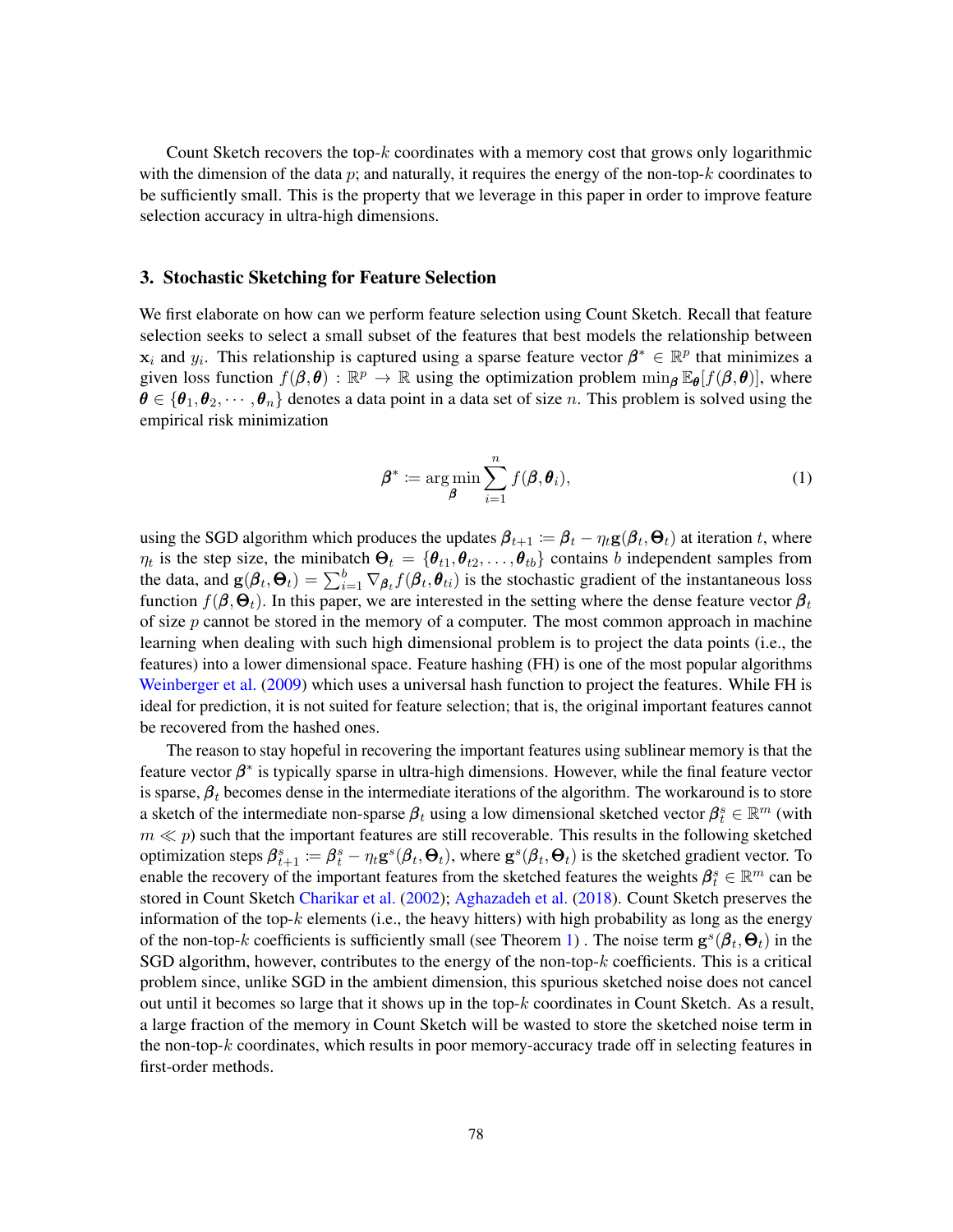Count Sketch recovers the top- $k$  coordinates with a memory cost that grows only logarithmic with the dimension of the data p; and naturally, it requires the energy of the non-top- $k$  coordinates to be sufficiently small. This is the property that we leverage in this paper in order to improve feature selection accuracy in ultra-high dimensions.

### 3. Stochastic Sketching for Feature Selection

We first elaborate on how can we perform feature selection using Count Sketch. Recall that feature selection seeks to select a small subset of the features that best models the relationship between  $\mathbf{x}_i$  and  $y_i$ . This relationship is captured using a sparse feature vector  $\beta^* \in \mathbb{R}^p$  that minimizes a given loss function  $f(\beta, \theta) : \mathbb{R}^p \to \mathbb{R}$  using the optimization problem  $\min_{\beta} \mathbb{E}_{\theta}[f(\beta, \theta)]$ , where  $\theta \in {\theta_1, \theta_2, \cdots, \theta_n}$  denotes a data point in a data set of size n. This problem is solved using the empirical risk minimization

<span id="page-3-0"></span>
$$
\boldsymbol{\beta}^* \coloneqq \argmin_{\boldsymbol{\beta}} \sum_{i=1}^n f(\boldsymbol{\beta}, \boldsymbol{\theta}_i),
$$
 (1)

using the SGD algorithm which produces the updates  $\beta_{t+1} := \beta_t - \eta_t \mathbf{g}(\beta_t, \Theta_t)$  at iteration t, where  $\eta_t$  is the step size, the minibatch  $\Theta_t = \{\theta_{t1}, \theta_{t2}, \dots, \theta_{tb}\}$  contains b independent samples from the data, and  $g(\beta_t, \Theta_t) = \sum_{i=1}^b \nabla_{\beta_t} f(\beta_t, \theta_{ti})$  is the stochastic gradient of the instantaneous loss function  $f(\beta, \Theta_t)$ . In this paper, we are interested in the setting where the dense feature vector  $\beta_t$ of size  $p$  cannot be stored in the memory of a computer. The most common approach in machine learning when dealing with such high dimensional problem is to project the data points (i.e., the features) into a lower dimensional space. Feature hashing (FH) is one of the most popular algorithms [Weinberger et al.](#page-17-2) [\(2009\)](#page-17-2) which uses a universal hash function to project the features. While FH is ideal for prediction, it is not suited for feature selection; that is, the original important features cannot be recovered from the hashed ones.

The reason to stay hopeful in recovering the important features using sublinear memory is that the feature vector  $\beta^*$  is typically sparse in ultra-high dimensions. However, while the final feature vector is sparse,  $\beta_t$  becomes dense in the intermediate iterations of the algorithm. The workaround is to store a sketch of the intermediate non-sparse  $\beta_t$  using a low dimensional sketched vector  $\beta_t^s \in \mathbb{R}^m$  (with  $m \ll p$ ) such that the important features are still recoverable. This results in the following sketched optimization steps  $\beta_{t+1}^s := \beta_t^s - \eta_t \mathbf{g}^s(\pmb{\beta}_t,\pmb{\Theta}_t)$ , where  $\mathbf{g}^s(\pmb{\beta}_t,\pmb{\Theta}_t)$  is the sketched gradient vector. To enable the recovery of the important features from the sketched features the weights  $\beta_t^s \in \mathbb{R}^m$  can be stored in Count Sketch [Charikar et al.](#page-16-4) [\(2002\)](#page-16-4); [Aghazadeh et al.](#page-16-2) [\(2018\)](#page-16-2). Count Sketch preserves the information of the top- $k$  elements (i.e., the heavy hitters) with high probability as long as the energy of the non-top-k coefficients is sufficiently small (see Theorem [1\)](#page-2-1). The noise term  $\mathbf{g}^s(\beta_t, \Theta_t)$  in the SGD algorithm, however, contributes to the energy of the non-top- $k$  coefficients. This is a critical problem since, unlike SGD in the ambient dimension, this spurious sketched noise does not cancel out until it becomes so large that it shows up in the top-k coordinates in Count Sketch. As a result, a large fraction of the memory in Count Sketch will be wasted to store the sketched noise term in the non-top- $k$  coordinates, which results in poor memory-accuracy trade off in selecting features in first-order methods.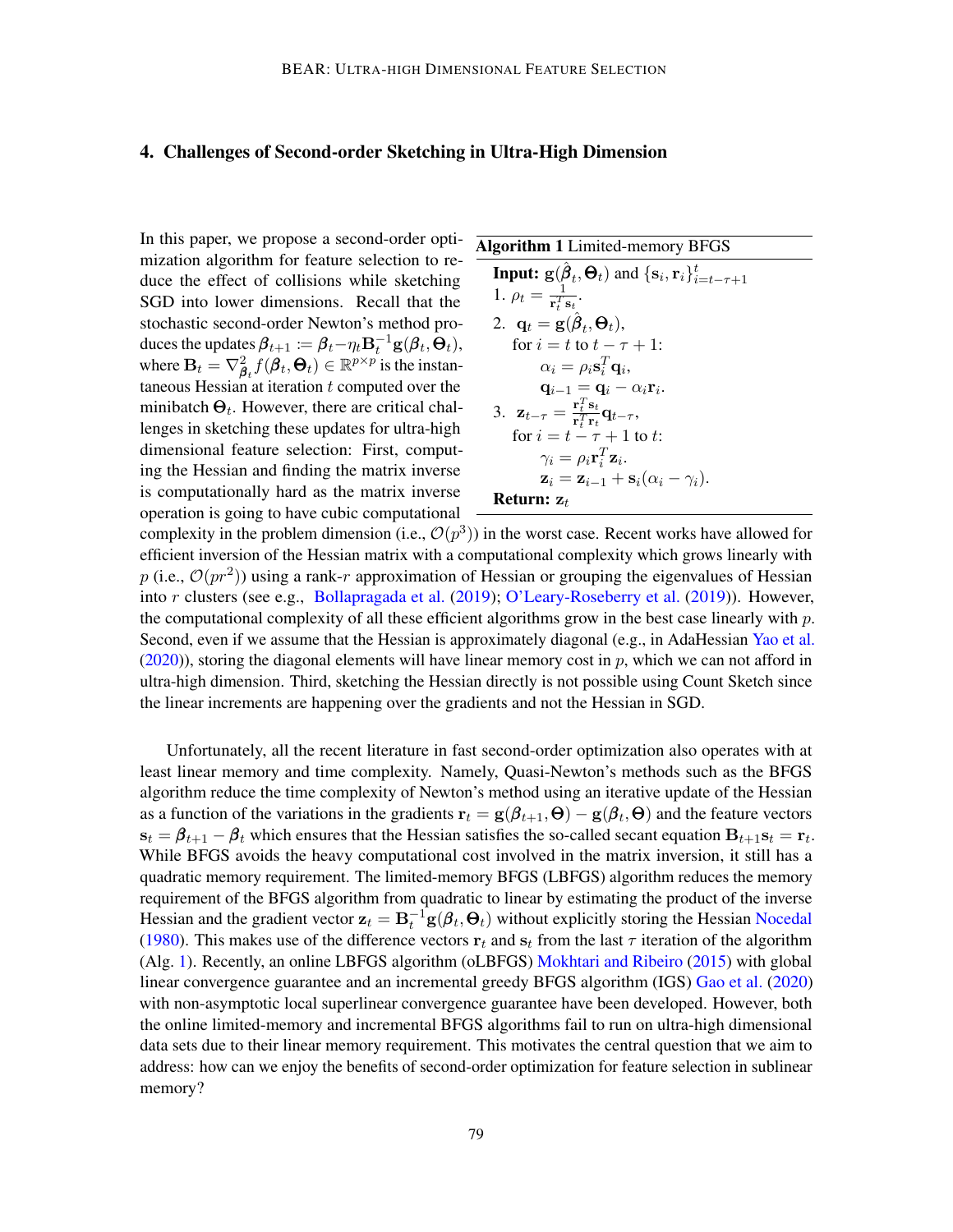# 4. Challenges of Second-order Sketching in Ultra-High Dimension

In this paper, we propose a second-order optimization algorithm for feature selection to reduce the effect of collisions while sketching SGD into lower dimensions. Recall that the stochastic second-order Newton's method produces the updates  $\boldsymbol{\beta}_{t+1} \coloneqq \boldsymbol{\beta}_t - \eta_t \mathbf{B}_t^{-1} \mathbf{g}(\boldsymbol{\beta}_t,\boldsymbol{\Theta}_t),$ where  $\mathbf{B}_t = \nabla^2_{\boldsymbol{\beta}_t} f(\boldsymbol{\beta}_t, \boldsymbol{\Theta}_t) \in \mathbb{R}^{p \times p}$  is the instantaneous Hessian at iteration  $t$  computed over the minibatch  $\Theta_t$ . However, there are critical challenges in sketching these updates for ultra-high dimensional feature selection: First, computing the Hessian and finding the matrix inverse is computationally hard as the matrix inverse operation is going to have cubic computational

#### Algorithm 1 Limited-memory BFGS

<span id="page-4-0"></span>**Input:** 
$$
\mathbf{g}(\hat{\boldsymbol{\beta}}_t, \boldsymbol{\Theta}_t)
$$
 and  $\{\mathbf{s}_i, \mathbf{r}_i\}_{i=t-\tau+1}^t$  \n1.  $\rho_t = \frac{1}{\mathbf{r}_t^T \mathbf{s}_t}$  \n2.  $\mathbf{q}_t = \mathbf{g}(\hat{\boldsymbol{\beta}}_t, \boldsymbol{\Theta}_t)$ , \nfor  $i = t$  to  $t - \tau + 1$ :\n  $\alpha_i = \rho_i \mathbf{s}_i^T \mathbf{q}_i$ , \n  $\mathbf{q}_{i-1} = \mathbf{q}_i - \alpha_i \mathbf{r}_i$  \n3.  $\mathbf{z}_{t-\tau} = \frac{\mathbf{r}_t^T \mathbf{s}_t}{\mathbf{r}_t^T \mathbf{r}_t} \mathbf{q}_{t-\tau}$ , \nfor  $i = t - \tau + 1$  to  $t$ :\n  $\gamma_i = \rho_i \mathbf{r}_i^T \mathbf{z}_i$  \n  $\mathbf{z}_i = \mathbf{z}_{i-1} + \mathbf{s}_i (\alpha_i - \gamma_i)$ .

#### **Return:**  $z_t$

complexity in the problem dimension (i.e.,  $\mathcal{O}(p^3)$ ) in the worst case. Recent works have allowed for efficient inversion of the Hessian matrix with a computational complexity which grows linearly with p (i.e.,  $\mathcal{O}(pr^2)$ ) using a rank-r approximation of Hessian or grouping the eigenvalues of Hessian into r clusters (see e.g., [Bollapragada et al.](#page-16-6) [\(2019\)](#page-16-6); [O'Leary-Roseberry et al.](#page-16-7) [\(2019\)](#page-16-7)). However, the computational complexity of all these efficient algorithms grow in the best case linearly with  $p$ . Second, even if we assume that the Hessian is approximately diagonal (e.g., in AdaHessian [Yao et al.](#page-17-5)  $(2020)$ ), storing the diagonal elements will have linear memory cost in p, which we can not afford in ultra-high dimension. Third, sketching the Hessian directly is not possible using Count Sketch since the linear increments are happening over the gradients and not the Hessian in SGD.

Unfortunately, all the recent literature in fast second-order optimization also operates with at least linear memory and time complexity. Namely, Quasi-Newton's methods such as the BFGS algorithm reduce the time complexity of Newton's method using an iterative update of the Hessian as a function of the variations in the gradients  $\mathbf{r}_t = \mathbf{g}(\beta_{t+1}, \mathbf{\Theta}) - \mathbf{g}(\beta_t, \mathbf{\Theta})$  and the feature vectors  $\mathbf{s}_t = \beta_{t+1} - \beta_t$  which ensures that the Hessian satisfies the so-called secant equation  $\mathbf{B}_{t+1}\mathbf{s}_t = \mathbf{r}_t$ . While BFGS avoids the heavy computational cost involved in the matrix inversion, it still has a quadratic memory requirement. The limited-memory BFGS (LBFGS) algorithm reduces the memory requirement of the BFGS algorithm from quadratic to linear by estimating the product of the inverse Hessian and the gradient vector  $\mathbf{z}_t = \mathbf{B}_t^{-1} \mathbf{g}(\beta_t, \Theta_t)$  without explicitly storing the Hessian [Nocedal](#page-16-8) [\(1980\)](#page-16-8). This makes use of the difference vectors  $\mathbf{r}_t$  and  $\mathbf{s}_t$  from the last  $\tau$  iteration of the algorithm (Alg. [1\)](#page-4-0). Recently, an online LBFGS algorithm (oLBFGS) [Mokhtari and Ribeiro](#page-16-5) [\(2015\)](#page-16-5) with global linear convergence guarantee and an incremental greedy BFGS algorithm (IGS) [Gao et al.](#page-16-9) [\(2020\)](#page-16-9) with non-asymptotic local superlinear convergence guarantee have been developed. However, both the online limited-memory and incremental BFGS algorithms fail to run on ultra-high dimensional data sets due to their linear memory requirement. This motivates the central question that we aim to address: how can we enjoy the benefits of second-order optimization for feature selection in sublinear memory?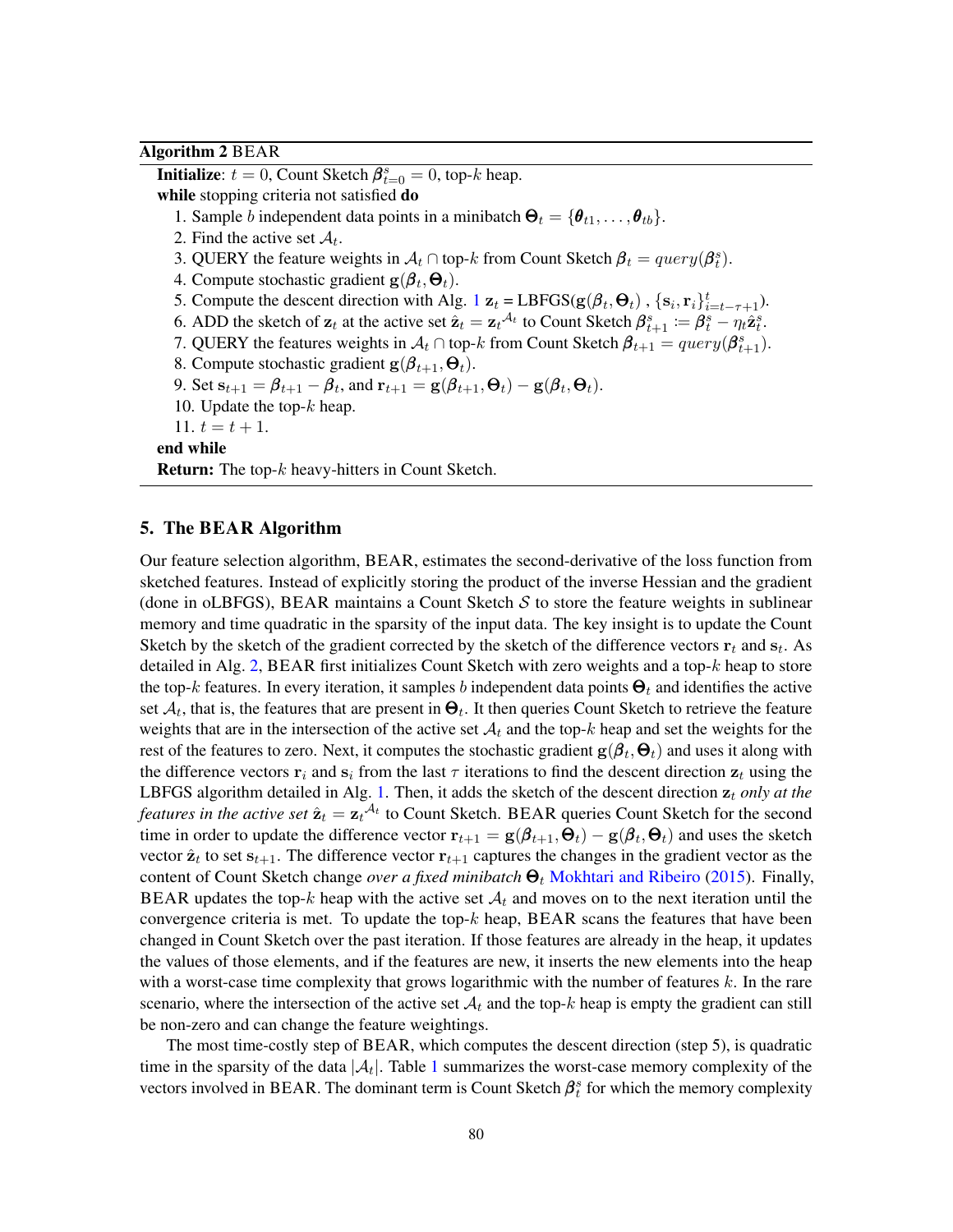# Algorithm 2 BEAR

<span id="page-5-0"></span>**Initialize**:  $t = 0$ , Count Sketch  $\beta_{t=0}^s = 0$ , top-k heap. while stopping criteria not satisfied do 1. Sample b independent data points in a minibatch  $\Theta_t = {\theta_{t1}, \dots, \theta_{tb}}$ . 2. Find the active set  $A_t$ . 3. QUERY the feature weights in  $\mathcal{A}_t \cap$  top-k from Count Sketch  $\beta_t = query(\beta_t^s)$ . 4. Compute stochastic gradient  $g(\beta_t, \Theta_t)$ . 5. Compute the descent direction with Alg. [1](#page-4-0)  $\mathbf{z}_t = \text{LBFGS}(\mathbf{g}(\beta_t, \boldsymbol{\Theta}_t), \{\mathbf{s}_i, \mathbf{r}_i\}_{i=t-\tau+1}^t)$ . 6. ADD the sketch of  $\mathbf{z}_t$  at the active set  $\hat{\mathbf{z}}_t = \mathbf{z}_t^{\mathcal{A}_t}$  to Count Sketch  $\boldsymbol{\beta}_{t+1}^s := \boldsymbol{\beta}_t^s - \eta_t \hat{\mathbf{z}}_t^s$ . 7. QUERY the features weights in  $A_t \cap$  top- $k$  from Count Sketch  $\beta_{t+1} = query(\beta_{t+1}^s)$ . 8. Compute stochastic gradient  $\mathbf{g}(\boldsymbol{\beta}_{t+1},\boldsymbol{\Theta}_t)$ . 9. Set  $\mathbf{s}_{t+1} = \boldsymbol{\beta}_{t+1} - \boldsymbol{\beta}_t$ , and  $\mathbf{r}_{t+1} = \mathbf{g}(\boldsymbol{\beta}_{t+1}, \boldsymbol{\Theta}_t) - \mathbf{g}(\boldsymbol{\beta}_t, \boldsymbol{\Theta}_t)$ . 10. Update the top- $k$  heap. 11.  $t = t + 1$ . end while Return: The top-k heavy-hitters in Count Sketch.

### 5. The BEAR Algorithm

Our feature selection algorithm, BEAR, estimates the second-derivative of the loss function from sketched features. Instead of explicitly storing the product of the inverse Hessian and the gradient (done in oLBFGS), BEAR maintains a Count Sketch  $S$  to store the feature weights in sublinear memory and time quadratic in the sparsity of the input data. The key insight is to update the Count Sketch by the sketch of the gradient corrected by the sketch of the difference vectors  $\mathbf{r}_t$  and  $\mathbf{s}_t$ . As detailed in Alg. [2,](#page-5-0) BEAR first initializes Count Sketch with zero weights and a top-k heap to store the top-k features. In every iteration, it samples b independent data points  $\Theta_t$  and identifies the active set  $A_t$ , that is, the features that are present in  $\Theta_t$ . It then queries Count Sketch to retrieve the feature weights that are in the intersection of the active set  $A_t$  and the top-k heap and set the weights for the rest of the features to zero. Next, it computes the stochastic gradient  $\mathbf{g}(\bm{\beta}_t,\bm{\Theta}_t)$  and uses it along with the difference vectors  $\mathbf{r}_i$  and  $\mathbf{s}_i$  from the last  $\tau$  iterations to find the descent direction  $\mathbf{z}_t$  using the LBFGS algorithm detailed in Alg. [1.](#page-4-0) Then, it adds the sketch of the descent direction  $z_t$  *only at the features in the active set*  $\hat{\mathbf{z}}_t = \mathbf{z}_t^{\mathcal{A}_t}$  to Count Sketch. BEAR queries Count Sketch for the second time in order to update the difference vector  $r_{t+1} = g(\beta_{t+1}, \Theta_t) - g(\beta_t, \Theta_t)$  and uses the sketch vector  $\hat{\mathbf{z}}_t$  to set  $\mathbf{s}_{t+1}$ . The difference vector  $\mathbf{r}_{t+1}$  captures the changes in the gradient vector as the content of Count Sketch change *over a fixed minibatch*  $\Theta_t$  [Mokhtari and Ribeiro](#page-16-5) [\(2015\)](#page-16-5). Finally, BEAR updates the top-k heap with the active set  $A_t$  and moves on to the next iteration until the convergence criteria is met. To update the top- $k$  heap, BEAR scans the features that have been changed in Count Sketch over the past iteration. If those features are already in the heap, it updates the values of those elements, and if the features are new, it inserts the new elements into the heap with a worst-case time complexity that grows logarithmic with the number of features  $k$ . In the rare scenario, where the intersection of the active set  $\mathcal{A}_t$  and the top-k heap is empty the gradient can still be non-zero and can change the feature weightings.

The most time-costly step of BEAR, which computes the descent direction (step 5), is quadratic time in the sparsity of the data  $|\mathcal{A}_t|$ . Table [1](#page-6-0) summarizes the worst-case memory complexity of the vectors involved in BEAR. The dominant term is Count Sketch  $\beta_t^s$  for which the memory complexity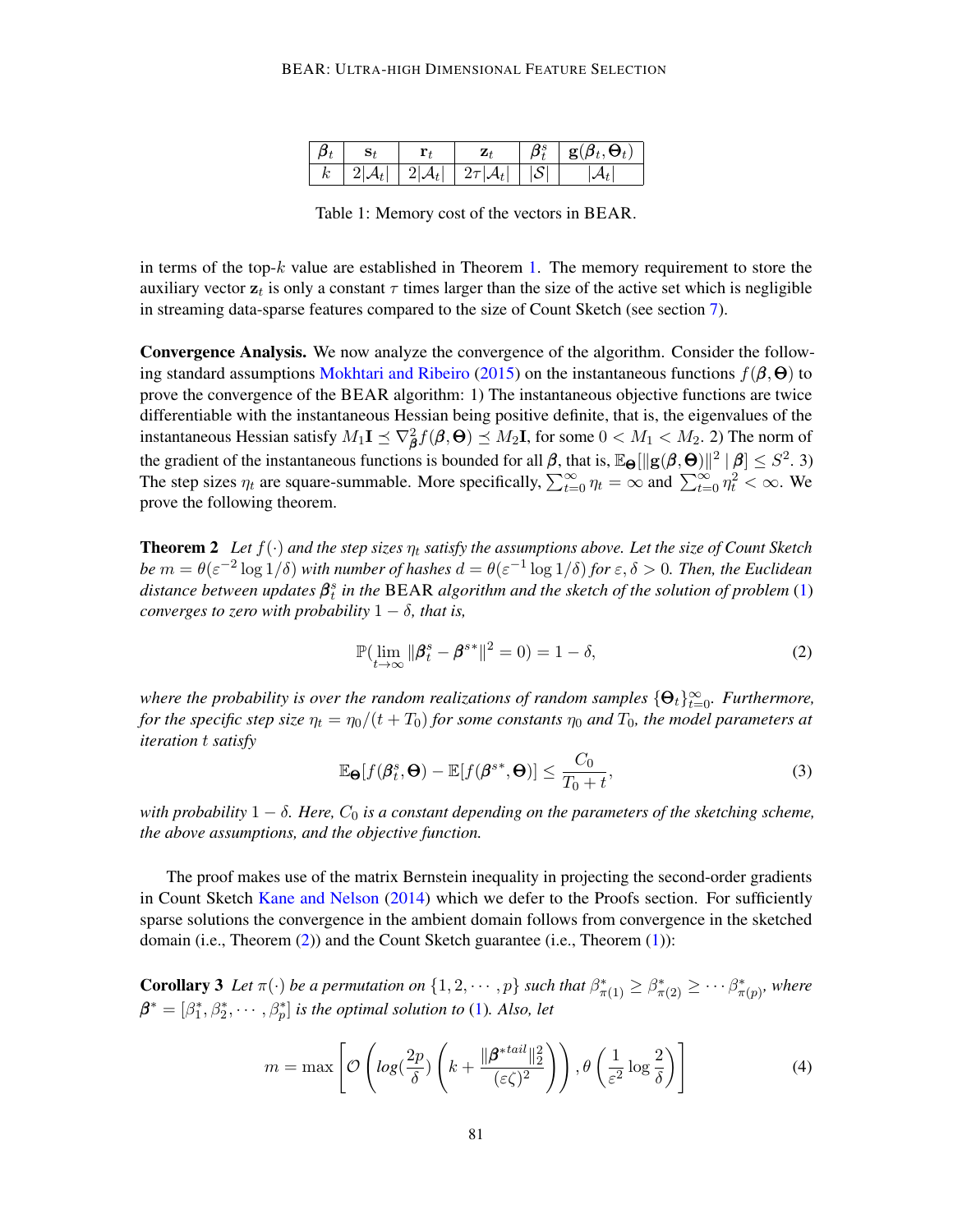|         |  |                                                                          |      | $\beta_t^s \mid \mathbf{g}(\beta_t, \Theta_t)$ |
|---------|--|--------------------------------------------------------------------------|------|------------------------------------------------|
| $k_{-}$ |  | $\mid 2 \mathcal{A}_t  \mid 2 \mathcal{A}_t  \mid 2\tau  \mathcal{A}_t $ | ISL. |                                                |

Table 1: Memory cost of the vectors in BEAR.

<span id="page-6-0"></span>in terms of the top- $k$  value are established in Theorem [1.](#page-2-1) The memory requirement to store the auxiliary vector  $z_t$  is only a constant  $\tau$  times larger than the size of the active set which is negligible in streaming data-sparse features compared to the size of Count Sketch (see section [7\)](#page-8-0).

Convergence Analysis. We now analyze the convergence of the algorithm. Consider the follow-ing standard assumptions [Mokhtari and Ribeiro](#page-16-5) [\(2015\)](#page-16-5) on the instantaneous functions  $f(\beta,\Theta)$  to prove the convergence of the BEAR algorithm: 1) The instantaneous objective functions are twice differentiable with the instantaneous Hessian being positive definite, that is, the eigenvalues of the instantaneous Hessian satisfy  $M_1 \mathbf{I} \preceq \nabla^2_{\boldsymbol{\beta}} f(\boldsymbol{\beta},\boldsymbol{\Theta}) \preceq M_2 \mathbf{I}$ , for some  $0 < M_1 < M_2$ . 2) The norm of the gradient of the instantaneous functions is bounded for all  $\beta$ , that is,  $\mathbb{E}_{\Theta}[\|g(\beta,\Theta)\|^2 \mid \beta] \leq S^2$ . 3) The step sizes  $\eta_t$  are square-summable. More specifically,  $\sum_{t=0}^{\infty} \eta_t = \infty$  and  $\sum_{t=0}^{\infty} \eta_t^2 < \infty$ . We prove the following theorem.

<span id="page-6-1"></span>**Theorem 2** Let  $f(\cdot)$  and the step sizes  $\eta_t$  satisfy the assumptions above. Let the size of Count Sketch *be*  $m = \theta(\varepsilon^{-2}\log 1/\delta)$  *with number of hashes*  $d = \theta(\varepsilon^{-1}\log 1/\delta)$  *for*  $\varepsilon, \delta > 0$ *. Then, the Euclidean distance between updates* β s t *in the* BEAR *algorithm and the sketch of the solution of problem* [\(1\)](#page-3-0) *converges to zero with probability*  $1 - \delta$ *, that is,* 

$$
\mathbb{P}(\lim_{t \to \infty} \|\boldsymbol{\beta}_t^s - \boldsymbol{\beta}^{s*}\|^2 = 0) = 1 - \delta,\tag{2}
$$

where the probability is over the random realizations of random samples  $\{\mathbf{\Theta}_t\}_{t=0}^{\infty}$ . Furthermore, *for the specific step size*  $\eta_t = \eta_0/(t + T_0)$  *for some constants*  $\eta_0$  *and*  $T_0$ *, the model parameters at iteration* t *satisfy*

$$
\mathbb{E}_{\boldsymbol{\Theta}}[f(\boldsymbol{\beta}_t^s, \boldsymbol{\Theta}) - \mathbb{E}[f(\boldsymbol{\beta}^{s*}, \boldsymbol{\Theta})] \le \frac{C_0}{T_0 + t},
$$
\n(3)

*with probability*  $1 - \delta$ . Here,  $C_0$  *is a constant depending on the parameters of the sketching scheme, the above assumptions, and the objective function.*

The proof makes use of the matrix Bernstein inequality in projecting the second-order gradients in Count Sketch [Kane and Nelson](#page-16-10) [\(2014\)](#page-16-10) which we defer to the Proofs section. For sufficiently sparse solutions the convergence in the ambient domain follows from convergence in the sketched domain (i.e., Theorem [\(2\)](#page-6-1)) and the Count Sketch guarantee (i.e., Theorem [\(1\)](#page-2-1)):

**Corollary 3** Let  $\pi(\cdot)$  be a permutation on  $\{1, 2, \cdots, p\}$  such that  $\beta^*_{\pi(1)} \geq \beta^*_{\pi(2)} \geq \cdots \beta^*_{\pi(p)}$ , where  $\boldsymbol{\beta}^*=[\beta_1^*,\beta_2^*,\cdots,\beta_p^*]$  *is the optimal solution to* [\(1\)](#page-3-0)*. Also, let* 

$$
m = \max \left[ \mathcal{O}\left( \log\left(\frac{2p}{\delta}\right) \left( k + \frac{\|\boldsymbol{\beta}^*^{tail}\|_2^2}{(\varepsilon \zeta)^2} \right) \right), \theta \left( \frac{1}{\varepsilon^2} \log \frac{2}{\delta} \right) \right]
$$
(4)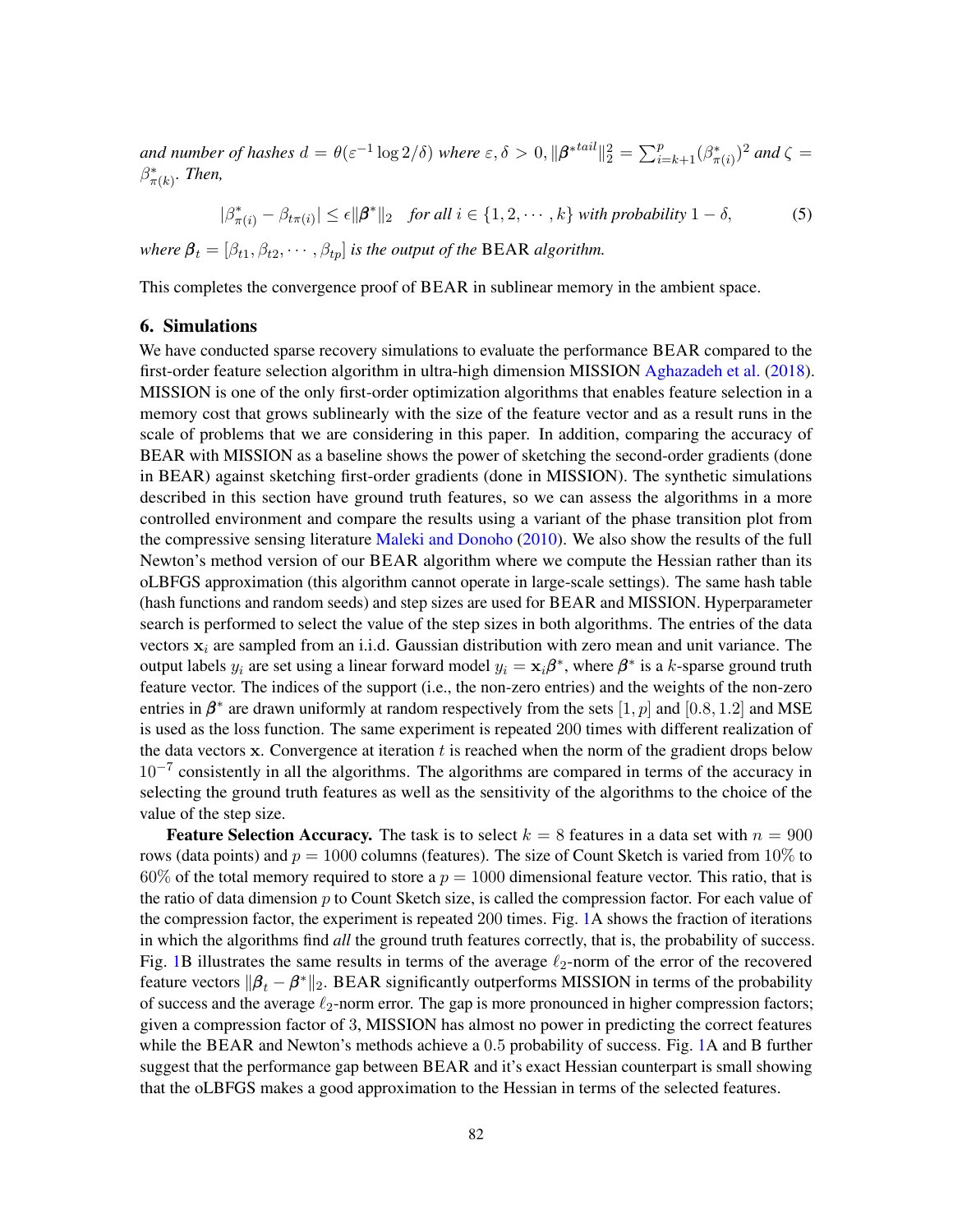and number of hashes  $d = \theta(\varepsilon^{-1} \log 2/\delta)$  where  $\varepsilon, \delta > 0, \|\boldsymbol{\beta}^{*}{}^{tail}\|_2^2 = \sum_{i=k+1}^p (\beta^*_{\pi(i)})^2$  and  $\zeta =$  $\beta^*_{\pi(k)}$ *. Then,* 

$$
|\beta^*_{\pi(i)} - \beta_{t\pi(i)}| \le \epsilon ||\beta^*||_2 \quad \text{for all } i \in \{1, 2, \cdots, k\} \text{ with probability } 1 - \delta,
$$
 (5)

*where*  $\beta_t = [\beta_{t1}, \beta_{t2}, \cdots, \beta_{tp}]$  *is the output of the BEAR algorithm.* 

This completes the convergence proof of BEAR in sublinear memory in the ambient space.

### 6. Simulations

We have conducted sparse recovery simulations to evaluate the performance BEAR compared to the first-order feature selection algorithm in ultra-high dimension MISSION [Aghazadeh et al.](#page-16-2) [\(2018\)](#page-16-2). MISSION is one of the only first-order optimization algorithms that enables feature selection in a memory cost that grows sublinearly with the size of the feature vector and as a result runs in the scale of problems that we are considering in this paper. In addition, comparing the accuracy of BEAR with MISSION as a baseline shows the power of sketching the second-order gradients (done in BEAR) against sketching first-order gradients (done in MISSION). The synthetic simulations described in this section have ground truth features, so we can assess the algorithms in a more controlled environment and compare the results using a variant of the phase transition plot from the compressive sensing literature [Maleki and Donoho](#page-16-11) [\(2010\)](#page-16-11). We also show the results of the full Newton's method version of our BEAR algorithm where we compute the Hessian rather than its oLBFGS approximation (this algorithm cannot operate in large-scale settings). The same hash table (hash functions and random seeds) and step sizes are used for BEAR and MISSION. Hyperparameter search is performed to select the value of the step sizes in both algorithms. The entries of the data vectors  $x_i$  are sampled from an i.i.d. Gaussian distribution with zero mean and unit variance. The output labels  $y_i$  are set using a linear forward model  $y_i = \mathbf{x}_i \boldsymbol{\beta}^*$ , where  $\boldsymbol{\beta}^*$  is a k-sparse ground truth feature vector. The indices of the support (i.e., the non-zero entries) and the weights of the non-zero entries in  $\beta^*$  are drawn uniformly at random respectively from the sets  $[1, p]$  and  $[0.8, 1.2]$  and MSE is used as the loss function. The same experiment is repeated 200 times with different realization of the data vectors  $x$ . Convergence at iteration  $t$  is reached when the norm of the gradient drops below 10<sup>-7</sup> consistently in all the algorithms. The algorithms are compared in terms of the accuracy in selecting the ground truth features as well as the sensitivity of the algorithms to the choice of the value of the step size.

**Feature Selection Accuracy.** The task is to select  $k = 8$  features in a data set with  $n = 900$ rows (data points) and  $p = 1000$  columns (features). The size of Count Sketch is varied from 10% to 60% of the total memory required to store a  $p = 1000$  dimensional feature vector. This ratio, that is the ratio of data dimension  $p$  to Count Sketch size, is called the compression factor. For each value of the compression factor, the experiment is repeated 200 times. Fig. [1A](#page-8-1) shows the fraction of iterations in which the algorithms find *all* the ground truth features correctly, that is, the probability of success. Fig. [1B](#page-8-1) illustrates the same results in terms of the average  $\ell_2$ -norm of the error of the recovered feature vectors  $\|\beta_t - \beta^*\|_2$ . BEAR significantly outperforms MISSION in terms of the probability of success and the average  $\ell_2$ -norm error. The gap is more pronounced in higher compression factors; given a compression factor of 3, MISSION has almost no power in predicting the correct features while the BEAR and Newton's methods achieve a 0.5 probability of success. Fig. [1A](#page-8-1) and B further suggest that the performance gap between BEAR and it's exact Hessian counterpart is small showing that the oLBFGS makes a good approximation to the Hessian in terms of the selected features.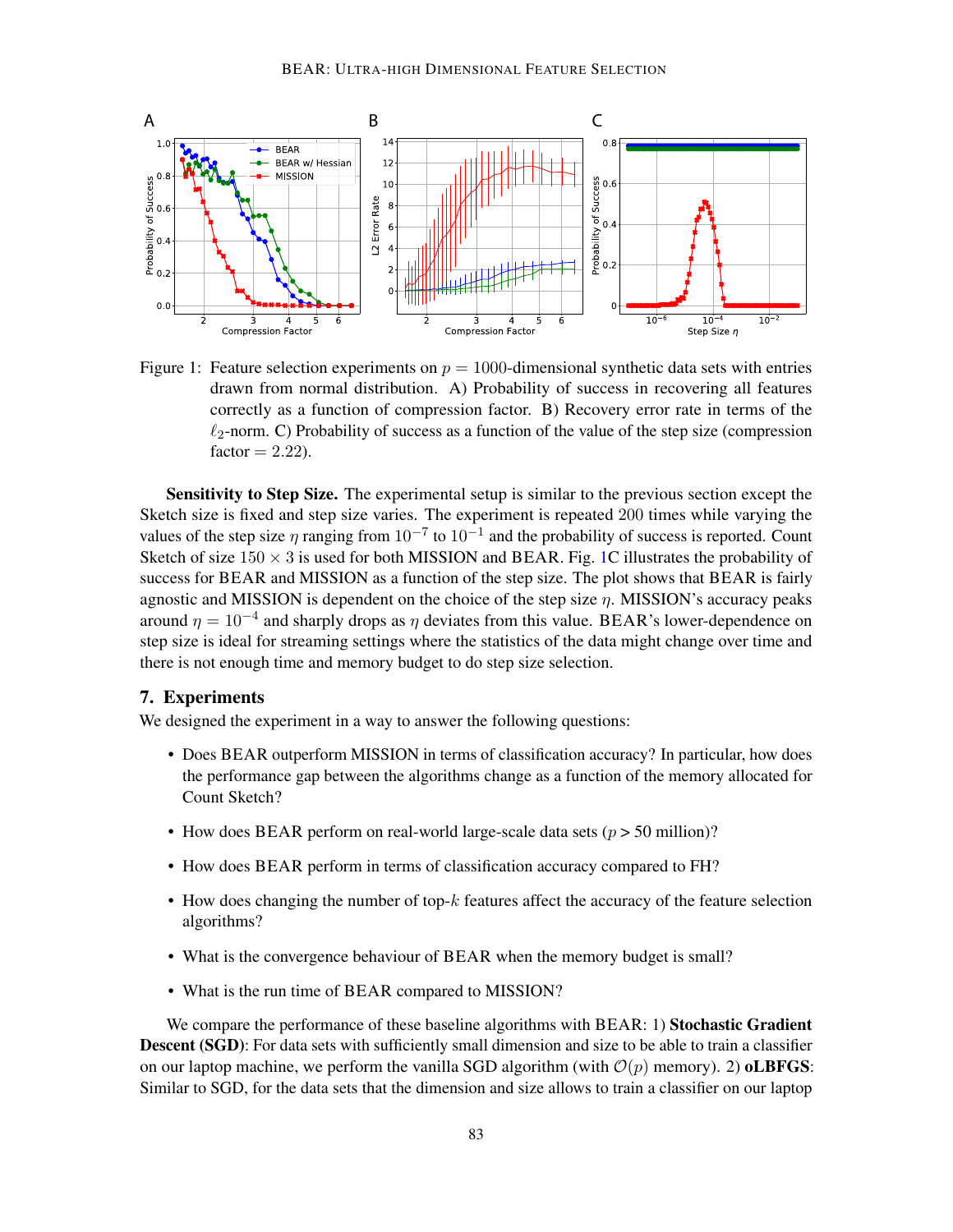

<span id="page-8-1"></span>Figure 1: Feature selection experiments on  $p = 1000$ -dimensional synthetic data sets with entries drawn from normal distribution. A) Probability of success in recovering all features correctly as a function of compression factor. B) Recovery error rate in terms of the  $\ell_2$ -norm. C) Probability of success as a function of the value of the step size (compression  $factor = 2.22$ .

Sensitivity to Step Size. The experimental setup is similar to the previous section except the Sketch size is fixed and step size varies. The experiment is repeated 200 times while varying the values of the step size  $\eta$  ranging from  $10^{-7}$  to  $10^{-1}$  and the probability of success is reported. Count Sketch of size  $150 \times 3$  is used for both MISSION and BEAR. Fig. [1C](#page-8-1) illustrates the probability of success for BEAR and MISSION as a function of the step size. The plot shows that BEAR is fairly agnostic and MISSION is dependent on the choice of the step size  $\eta$ . MISSION's accuracy peaks around  $\eta = 10^{-4}$  and sharply drops as  $\eta$  deviates from this value. BEAR's lower-dependence on step size is ideal for streaming settings where the statistics of the data might change over time and there is not enough time and memory budget to do step size selection.

# <span id="page-8-0"></span>7. Experiments

We designed the experiment in a way to answer the following questions:

- Does BEAR outperform MISSION in terms of classification accuracy? In particular, how does the performance gap between the algorithms change as a function of the memory allocated for Count Sketch?
- How does BEAR perform on real-world large-scale data sets  $(p > 50 \text{ million})$ ?
- How does BEAR perform in terms of classification accuracy compared to FH?
- How does changing the number of top-k features affect the accuracy of the feature selection algorithms?
- What is the convergence behaviour of BEAR when the memory budget is small?
- What is the run time of BEAR compared to MISSION?

We compare the performance of these baseline algorithms with BEAR: 1) Stochastic Gradient **Descent (SGD)**: For data sets with sufficiently small dimension and size to be able to train a classifier on our laptop machine, we perform the vanilla SGD algorithm (with  $\mathcal{O}(p)$  memory). 2) **oLBFGS**: Similar to SGD, for the data sets that the dimension and size allows to train a classifier on our laptop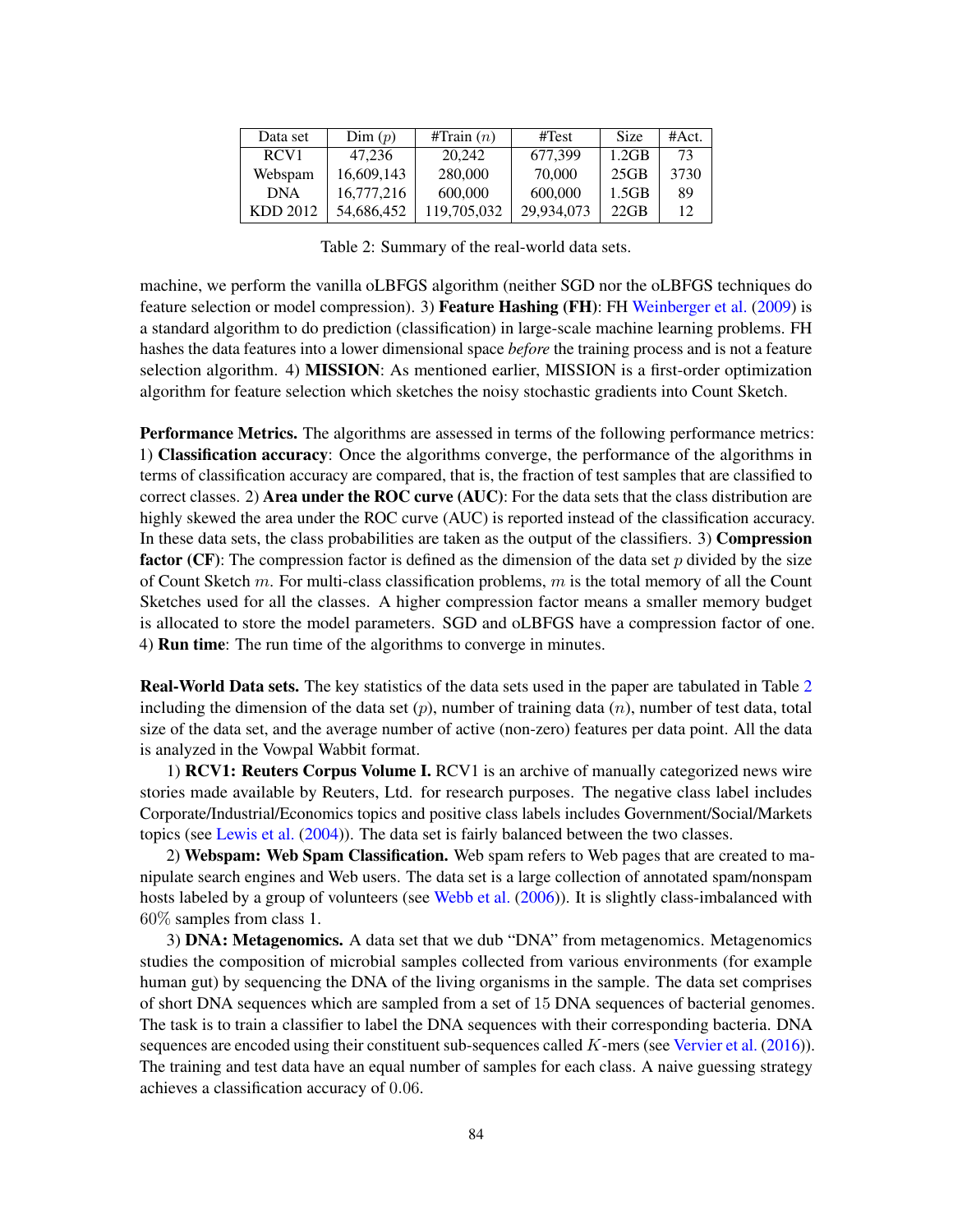| Data set         | Dim(p)     | #Train $(n)$ | $\#\text{Test}$ | <b>Size</b> | #Act. |
|------------------|------------|--------------|-----------------|-------------|-------|
| RCV <sub>1</sub> | 47.236     | 20,242       | 677.399         | 1.2GB       | 73    |
| Webspam          | 16,609,143 | 280,000      | 70,000          | 25GB        | 3730  |
| <b>DNA</b>       | 16,777,216 | 600,000      | 600,000         | 1.5GB       | 89    |
| KDD 2012         | 54,686,452 | 119.705.032  | 29.934.073      | $22$ GB     | 12    |

Table 2: Summary of the real-world data sets.

<span id="page-9-0"></span>machine, we perform the vanilla oLBFGS algorithm (neither SGD nor the oLBFGS techniques do feature selection or model compression). 3) Feature Hashing (FH): FH [Weinberger et al.](#page-17-2) [\(2009\)](#page-17-2) is a standard algorithm to do prediction (classification) in large-scale machine learning problems. FH hashes the data features into a lower dimensional space *before* the training process and is not a feature selection algorithm. 4) **MISSION**: As mentioned earlier, MISSION is a first-order optimization algorithm for feature selection which sketches the noisy stochastic gradients into Count Sketch.

Performance Metrics. The algorithms are assessed in terms of the following performance metrics: 1) Classification accuracy: Once the algorithms converge, the performance of the algorithms in terms of classification accuracy are compared, that is, the fraction of test samples that are classified to correct classes. 2) Area under the ROC curve (AUC): For the data sets that the class distribution are highly skewed the area under the ROC curve (AUC) is reported instead of the classification accuracy. In these data sets, the class probabilities are taken as the output of the classifiers. 3) Compression **factor** (CF): The compression factor is defined as the dimension of the data set p divided by the size of Count Sketch  $m$ . For multi-class classification problems,  $m$  is the total memory of all the Count Sketches used for all the classes. A higher compression factor means a smaller memory budget is allocated to store the model parameters. SGD and oLBFGS have a compression factor of one. 4) **Run time**: The run time of the algorithms to converge in minutes.

Real-World Data sets. The key statistics of the data sets used in the paper are tabulated in Table [2](#page-9-0) including the dimension of the data set  $(p)$ , number of training data  $(n)$ , number of test data, total size of the data set, and the average number of active (non-zero) features per data point. All the data is analyzed in the Vowpal Wabbit format.

1) RCV1: Reuters Corpus Volume I. RCV1 is an archive of manually categorized news wire stories made available by Reuters, Ltd. for research purposes. The negative class label includes Corporate/Industrial/Economics topics and positive class labels includes Government/Social/Markets topics (see [Lewis et al.](#page-16-12) [\(2004\)](#page-16-12)). The data set is fairly balanced between the two classes.

2) Webspam: Web Spam Classification. Web spam refers to Web pages that are created to manipulate search engines and Web users. The data set is a large collection of annotated spam/nonspam hosts labeled by a group of volunteers (see [Webb et al.](#page-17-6) [\(2006\)](#page-17-6)). It is slightly class-imbalanced with 60% samples from class 1.

3) DNA: Metagenomics. A data set that we dub "DNA" from metagenomics. Metagenomics studies the composition of microbial samples collected from various environments (for example human gut) by sequencing the DNA of the living organisms in the sample. The data set comprises of short DNA sequences which are sampled from a set of 15 DNA sequences of bacterial genomes. The task is to train a classifier to label the DNA sequences with their corresponding bacteria. DNA sequences are encoded using their constituent sub-sequences called  $K$ -mers (see [Vervier et al.](#page-16-1) [\(2016\)](#page-16-1)). The training and test data have an equal number of samples for each class. A naive guessing strategy achieves a classification accuracy of 0.06.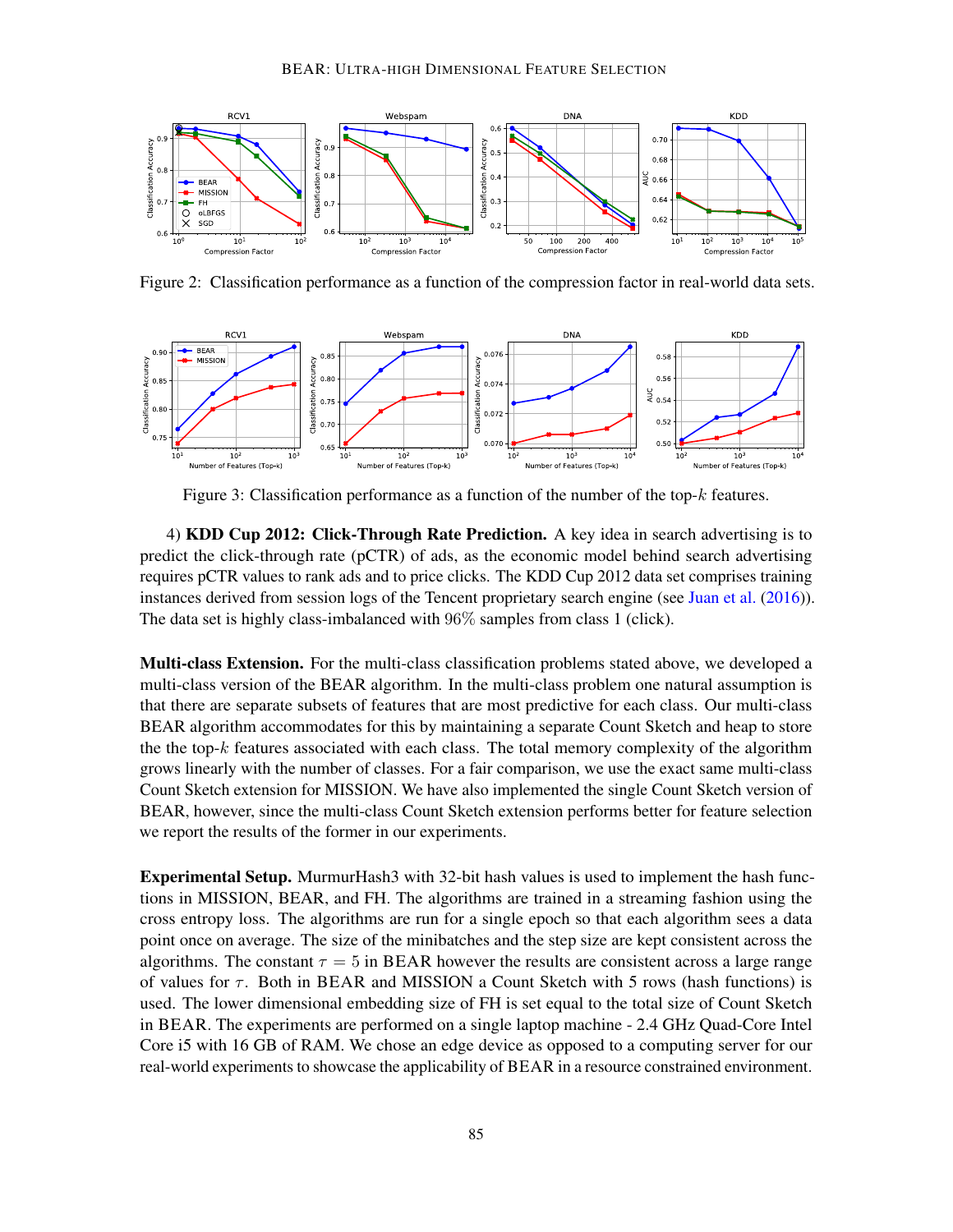

<span id="page-10-0"></span>Figure 2: Classification performance as a function of the compression factor in real-world data sets.



<span id="page-10-1"></span>Figure 3: Classification performance as a function of the number of the top- $k$  features.

4) KDD Cup 2012: Click-Through Rate Prediction. A key idea in search advertising is to predict the click-through rate (pCTR) of ads, as the economic model behind search advertising requires pCTR values to rank ads and to price clicks. The KDD Cup 2012 data set comprises training instances derived from session logs of the Tencent proprietary search engine (see [Juan et al.](#page-16-13) [\(2016\)](#page-16-13)). The data set is highly class-imbalanced with 96% samples from class 1 (click).

Multi-class Extension. For the multi-class classification problems stated above, we developed a multi-class version of the BEAR algorithm. In the multi-class problem one natural assumption is that there are separate subsets of features that are most predictive for each class. Our multi-class BEAR algorithm accommodates for this by maintaining a separate Count Sketch and heap to store the the top- $k$  features associated with each class. The total memory complexity of the algorithm grows linearly with the number of classes. For a fair comparison, we use the exact same multi-class Count Sketch extension for MISSION. We have also implemented the single Count Sketch version of BEAR, however, since the multi-class Count Sketch extension performs better for feature selection we report the results of the former in our experiments.

Experimental Setup. MurmurHash3 with 32-bit hash values is used to implement the hash functions in MISSION, BEAR, and FH. The algorithms are trained in a streaming fashion using the cross entropy loss. The algorithms are run for a single epoch so that each algorithm sees a data point once on average. The size of the minibatches and the step size are kept consistent across the algorithms. The constant  $\tau = 5$  in BEAR however the results are consistent across a large range of values for  $\tau$ . Both in BEAR and MISSION a Count Sketch with 5 rows (hash functions) is used. The lower dimensional embedding size of FH is set equal to the total size of Count Sketch in BEAR. The experiments are performed on a single laptop machine - 2.4 GHz Quad-Core Intel Core i5 with 16 GB of RAM. We chose an edge device as opposed to a computing server for our real-world experiments to showcase the applicability of BEAR in a resource constrained environment.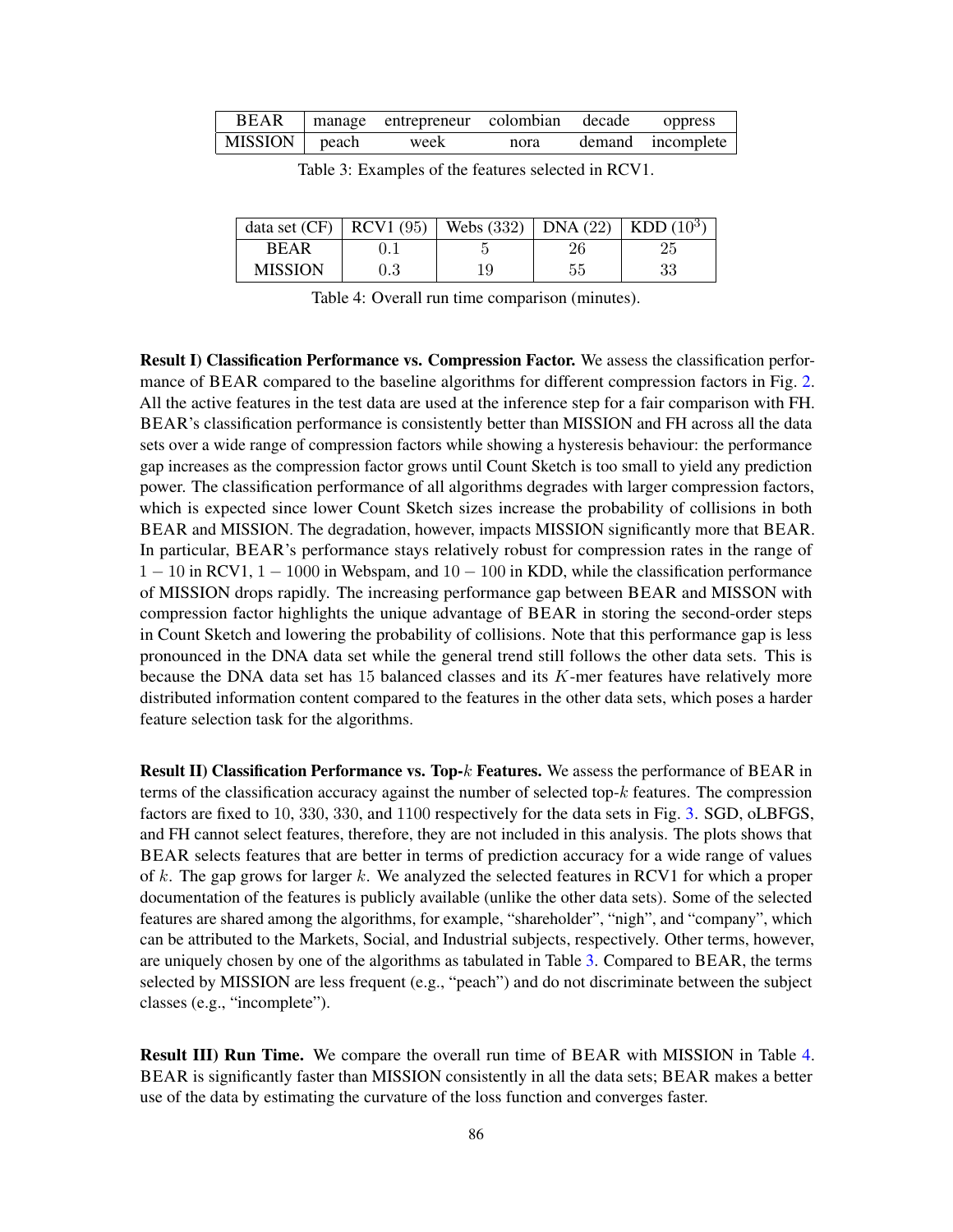<span id="page-11-0"></span>

|                 | BEAR manage entrepreneur colombian decade oppress |      |                   |
|-----------------|---------------------------------------------------|------|-------------------|
| MISSION   peach | week                                              | nora | demand incomplete |

| data set $(CF)$ |         | RCV1 (95)   Webs (332)   DNA (22)   KDD (10 <sup>3</sup> ) |    |    |
|-----------------|---------|------------------------------------------------------------|----|----|
| <b>REAR</b>     |         |                                                            | 26 | 25 |
| <b>MISSION</b>  | $0.3\,$ |                                                            | 55 | 33 |

Table 3: Examples of the features selected in RCV1.

Table 4: Overall run time comparison (minutes).

<span id="page-11-1"></span>Result I) Classification Performance vs. Compression Factor. We assess the classification perfor-mance of BEAR compared to the baseline algorithms for different compression factors in Fig. [2.](#page-10-0) All the active features in the test data are used at the inference step for a fair comparison with FH. BEAR's classification performance is consistently better than MISSION and FH across all the data sets over a wide range of compression factors while showing a hysteresis behaviour: the performance gap increases as the compression factor grows until Count Sketch is too small to yield any prediction power. The classification performance of all algorithms degrades with larger compression factors, which is expected since lower Count Sketch sizes increase the probability of collisions in both BEAR and MISSION. The degradation, however, impacts MISSION significantly more that BEAR. In particular, BEAR's performance stays relatively robust for compression rates in the range of  $1 - 10$  in RCV1,  $1 - 1000$  in Webspam, and  $10 - 100$  in KDD, while the classification performance of MISSION drops rapidly. The increasing performance gap between BEAR and MISSON with compression factor highlights the unique advantage of BEAR in storing the second-order steps in Count Sketch and lowering the probability of collisions. Note that this performance gap is less pronounced in the DNA data set while the general trend still follows the other data sets. This is because the DNA data set has 15 balanced classes and its K-mer features have relatively more distributed information content compared to the features in the other data sets, which poses a harder feature selection task for the algorithms.

**Result II) Classification Performance vs. Top-k Features.** We assess the performance of BEAR in terms of the classification accuracy against the number of selected top-k features. The compression factors are fixed to 10, 330, 330, and 1100 respectively for the data sets in Fig. [3.](#page-10-1) SGD, oLBFGS, and FH cannot select features, therefore, they are not included in this analysis. The plots shows that BEAR selects features that are better in terms of prediction accuracy for a wide range of values of k. The gap grows for larger k. We analyzed the selected features in RCV1 for which a proper documentation of the features is publicly available (unlike the other data sets). Some of the selected features are shared among the algorithms, for example, "shareholder", "nigh", and "company", which can be attributed to the Markets, Social, and Industrial subjects, respectively. Other terms, however, are uniquely chosen by one of the algorithms as tabulated in Table [3.](#page-11-0) Compared to BEAR, the terms selected by MISSION are less frequent (e.g., "peach") and do not discriminate between the subject classes (e.g., "incomplete").

Result III) Run Time. We compare the overall run time of BEAR with MISSION in Table [4.](#page-11-1) BEAR is significantly faster than MISSION consistently in all the data sets; BEAR makes a better use of the data by estimating the curvature of the loss function and converges faster.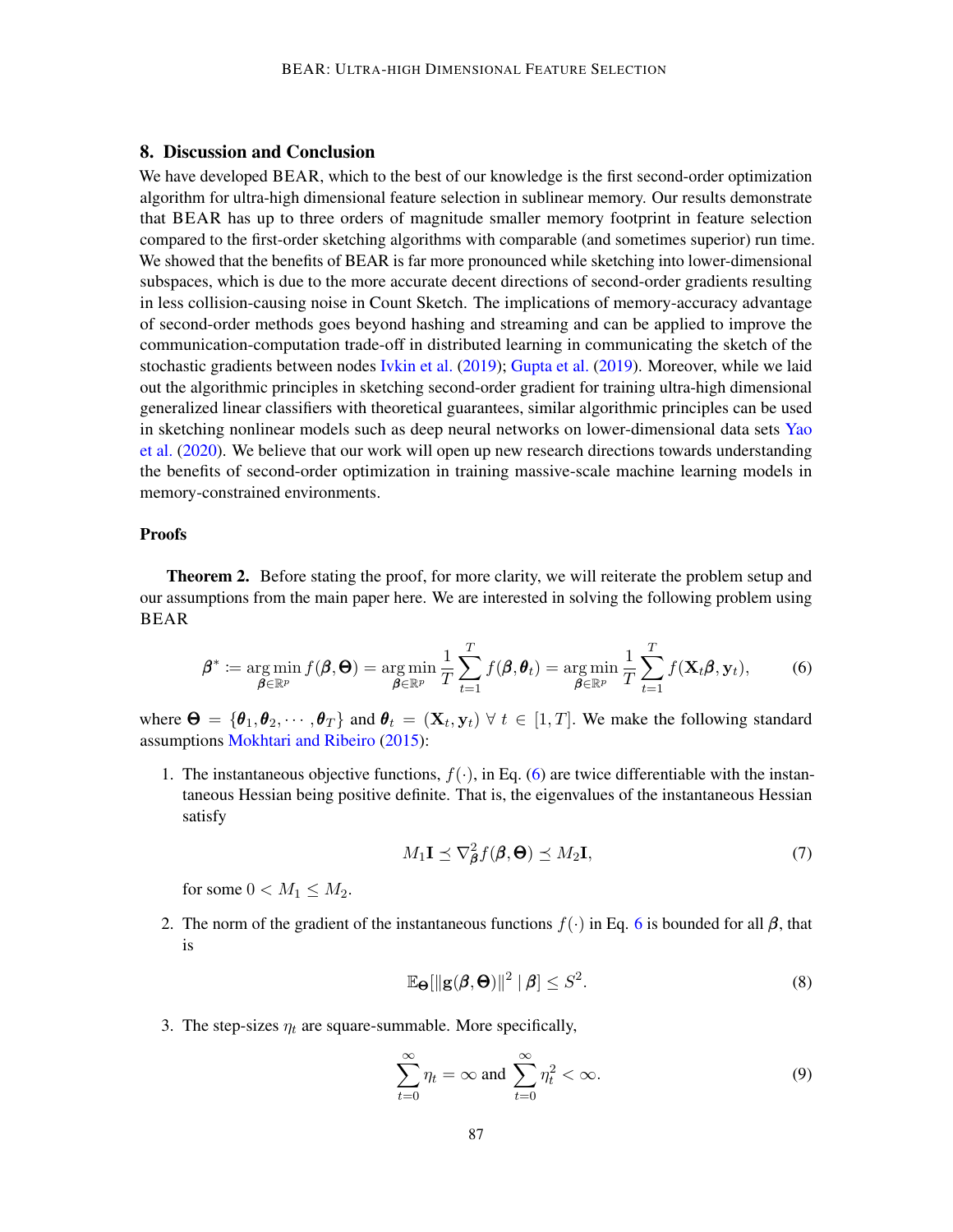### 8. Discussion and Conclusion

We have developed BEAR, which to the best of our knowledge is the first second-order optimization algorithm for ultra-high dimensional feature selection in sublinear memory. Our results demonstrate that BEAR has up to three orders of magnitude smaller memory footprint in feature selection compared to the first-order sketching algorithms with comparable (and sometimes superior) run time. We showed that the benefits of BEAR is far more pronounced while sketching into lower-dimensional subspaces, which is due to the more accurate decent directions of second-order gradients resulting in less collision-causing noise in Count Sketch. The implications of memory-accuracy advantage of second-order methods goes beyond hashing and streaming and can be applied to improve the communication-computation trade-off in distributed learning in communicating the sketch of the stochastic gradients between nodes [Ivkin et al.](#page-16-14) [\(2019\)](#page-16-14); [Gupta et al.](#page-16-15) [\(2019\)](#page-16-15). Moreover, while we laid out the algorithmic principles in sketching second-order gradient for training ultra-high dimensional generalized linear classifiers with theoretical guarantees, similar algorithmic principles can be used in sketching nonlinear models such as deep neural networks on lower-dimensional data sets [Yao](#page-17-5) [et al.](#page-17-5) [\(2020\)](#page-17-5). We believe that our work will open up new research directions towards understanding the benefits of second-order optimization in training massive-scale machine learning models in memory-constrained environments.

#### **Proofs**

Theorem 2. Before stating the proof, for more clarity, we will reiterate the problem setup and our assumptions from the main paper here. We are interested in solving the following problem using BEAR

<span id="page-12-0"></span>
$$
\boldsymbol{\beta}^* \coloneqq \argmin_{\boldsymbol{\beta} \in \mathbb{R}^p} f(\boldsymbol{\beta}, \boldsymbol{\Theta}) = \argmin_{\boldsymbol{\beta} \in \mathbb{R}^p} \frac{1}{T} \sum_{t=1}^T f(\boldsymbol{\beta}, \boldsymbol{\theta}_t) = \argmin_{\boldsymbol{\beta} \in \mathbb{R}^p} \frac{1}{T} \sum_{t=1}^T f(\mathbf{X}_t \boldsymbol{\beta}, \mathbf{y}_t), \tag{6}
$$

where  $\Theta = \{\theta_1, \theta_2, \cdots, \theta_T\}$  and  $\theta_t = (\mathbf{X}_t, \mathbf{y}_t) \ \forall \ t \in [1, T]$ . We make the following standard assumptions [Mokhtari and Ribeiro](#page-16-5) [\(2015\)](#page-16-5):

1. The instantaneous objective functions,  $f(\cdot)$ , in Eq. [\(6\)](#page-12-0) are twice differentiable with the instantaneous Hessian being positive definite. That is, the eigenvalues of the instantaneous Hessian satisfy

<span id="page-12-1"></span>
$$
M_1 \mathbf{I} \preceq \nabla_{\boldsymbol{\beta}}^2 f(\boldsymbol{\beta}, \boldsymbol{\Theta}) \preceq M_2 \mathbf{I},\tag{7}
$$

for some  $0 < M_1 \leq M_2$ .

2. The norm of the gradient of the instantaneous functions  $f(\cdot)$  in Eq. [6](#page-12-0) is bounded for all  $\beta$ , that is

<span id="page-12-2"></span>
$$
\mathbb{E}_{\Theta}[\|\mathbf{g}(\boldsymbol{\beta},\boldsymbol{\Theta})\|^2 \mid \boldsymbol{\beta}] \le S^2. \tag{8}
$$

3. The step-sizes  $\eta_t$  are square-summable. More specifically,

$$
\sum_{t=0}^{\infty} \eta_t = \infty \text{ and } \sum_{t=0}^{\infty} \eta_t^2 < \infty. \tag{9}
$$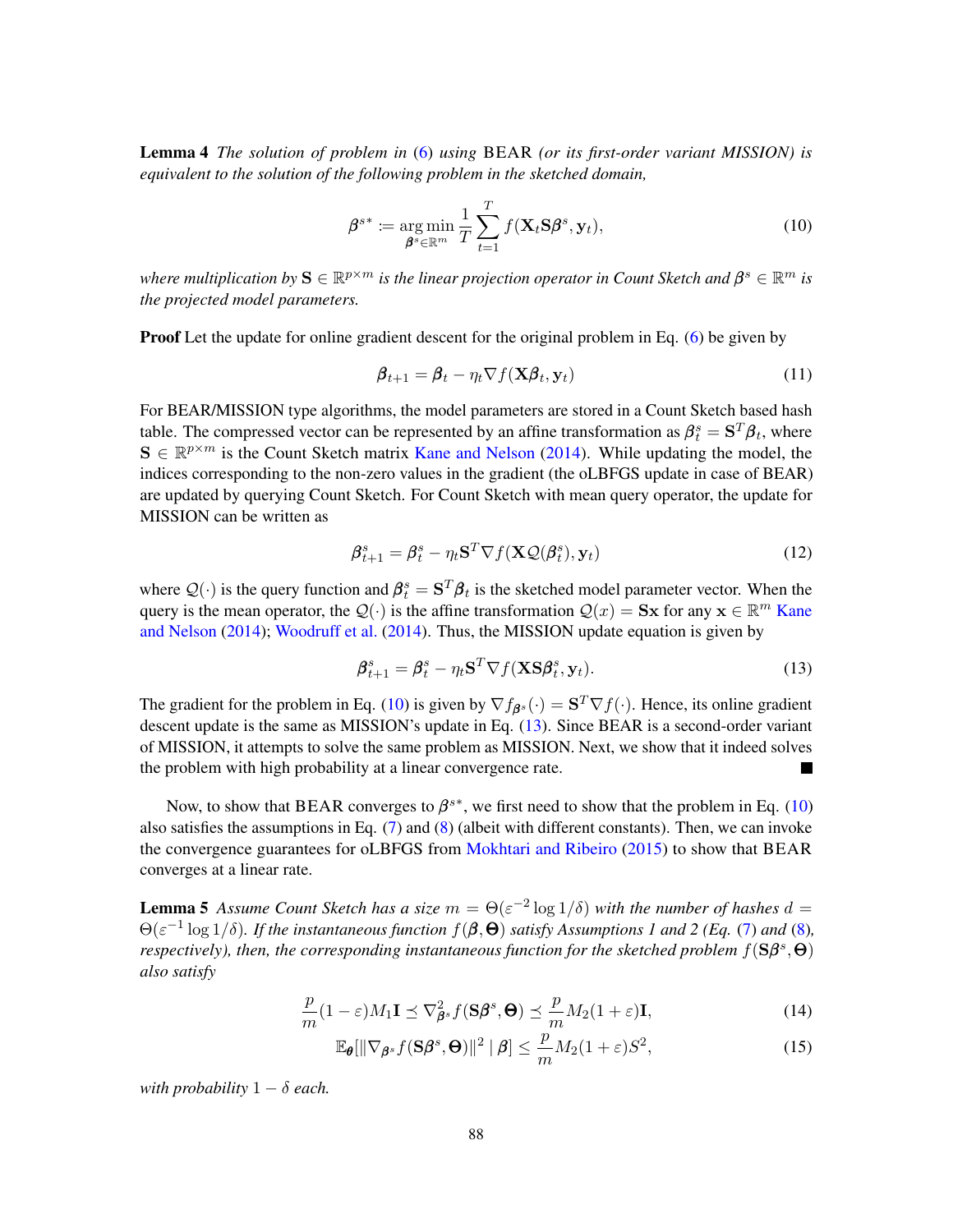Lemma 4 *The solution of problem in* [\(6\)](#page-12-0) *using* BEAR *(or its first-order variant MISSION) is equivalent to the solution of the following problem in the sketched domain,*

<span id="page-13-0"></span>
$$
\boldsymbol{\beta}^{s*} \coloneqq \underset{\boldsymbol{\beta}^s \in \mathbb{R}^m}{\arg \min} \frac{1}{T} \sum_{t=1}^T f(\mathbf{X}_t \mathbf{S} \boldsymbol{\beta}^s, \mathbf{y}_t), \tag{10}
$$

where multiplication by  $\mathbf{S}\in\mathbb{R}^{p\times m}$  is the linear projection operator in Count Sketch and  $\pmb{\beta}^s\in\mathbb{R}^m$  is *the projected model parameters.*

**Proof** Let the update for online gradient descent for the original problem in Eq. [\(6\)](#page-12-0) be given by

$$
\boldsymbol{\beta}_{t+1} = \boldsymbol{\beta}_t - \eta_t \nabla f(\mathbf{X}\boldsymbol{\beta}_t, \mathbf{y}_t) \tag{11}
$$

For BEAR/MISSION type algorithms, the model parameters are stored in a Count Sketch based hash table. The compressed vector can be represented by an affine transformation as  $\pmb{\beta}_t^s = \mathbf{S}^T \pmb{\beta}_t$ , where  $S \in \mathbb{R}^{p \times m}$  is the Count Sketch matrix [Kane and Nelson](#page-16-10) [\(2014\)](#page-16-10). While updating the model, the indices corresponding to the non-zero values in the gradient (the oLBFGS update in case of BEAR) are updated by querying Count Sketch. For Count Sketch with mean query operator, the update for MISSION can be written as

$$
\boldsymbol{\beta}_{t+1}^s = \boldsymbol{\beta}_t^s - \eta_t \mathbf{S}^T \nabla f(\mathbf{X} \mathcal{Q}(\boldsymbol{\beta}_t^s), \mathbf{y}_t)
$$
(12)

where  $Q(\cdot)$  is the query function and  $\beta_t^s = S^T \beta_t$  is the sketched model parameter vector. When the query is the mean operator, the  $\mathcal{Q}(\cdot)$  is the affine transformation  $\mathcal{Q}(x) = Sx$  for any  $x \in \mathbb{R}^m$  [Kane](#page-16-10) [and Nelson](#page-16-10) [\(2014\)](#page-16-10); [Woodruff et al.](#page-17-7) [\(2014\)](#page-17-7). Thus, the MISSION update equation is given by

<span id="page-13-1"></span>
$$
\boldsymbol{\beta}_{t+1}^s = \boldsymbol{\beta}_t^s - \eta_t \mathbf{S}^T \nabla f(\mathbf{X} \mathbf{S} \boldsymbol{\beta}_t^s, \mathbf{y}_t).
$$
\n(13)

The gradient for the problem in Eq. [\(10\)](#page-13-0) is given by  $\nabla f_{\beta^s}(\cdot) = \mathbf{S}^T \nabla f(\cdot)$ . Hence, its online gradient descent update is the same as MISSION's update in Eq. [\(13\)](#page-13-1). Since BEAR is a second-order variant of MISSION, it attempts to solve the same problem as MISSION. Next, we show that it indeed solves the problem with high probability at a linear convergence rate.

Now, to show that BEAR converges to  $\beta^{s*}$ , we first need to show that the problem in Eq. [\(10\)](#page-13-0) also satisfies the assumptions in Eq. [\(7\)](#page-12-1) and [\(8\)](#page-12-2) (albeit with different constants). Then, we can invoke the convergence guarantees for oLBFGS from [Mokhtari and Ribeiro](#page-16-5) [\(2015\)](#page-16-5) to show that BEAR converges at a linear rate.

**Lemma 5** Assume Count Sketch has a size  $m = \Theta(\varepsilon^{-2} \log 1/\delta)$  with the number of hashes  $d =$  $\Theta(\varepsilon^{-1}\log 1/\delta)$ *. If the instantaneous function*  $f(\beta,\Theta)$  *satisfy Assumptions 1 and 2 (Eq. [\(7\)](#page-12-1) and [\(8\)](#page-12-2),* respectively), then, the corresponding instantaneous function for the sketched problem  $f(\S\beta^s, \Theta)$ *also satisfy*

$$
\frac{p}{m}(1-\varepsilon)M_1\mathbf{I} \preceq \nabla_{\boldsymbol{\beta}^s}^2 f(\mathbf{S}\boldsymbol{\beta}^s, \boldsymbol{\Theta}) \preceq \frac{p}{m}M_2(1+\varepsilon)\mathbf{I},\tag{14}
$$

<span id="page-13-2"></span>
$$
\mathbb{E}_{\theta}[\|\nabla_{\beta^s} f(\mathbf{S}\beta^s, \Theta)\|^2 \mid \beta] \le \frac{p}{m} M_2(1+\varepsilon)S^2,
$$
\n(15)

*with probability*  $1 - \delta$  *each.*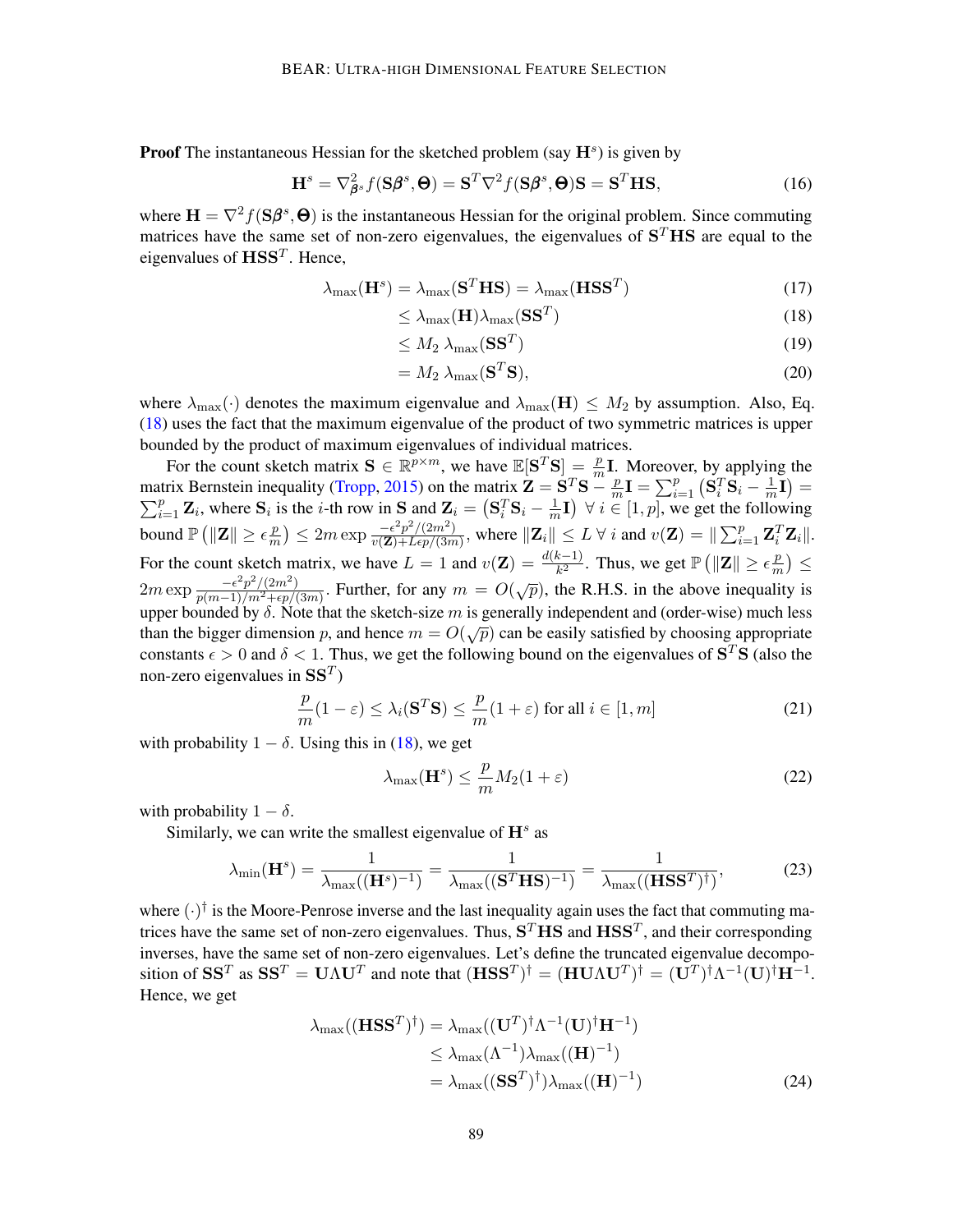**Proof** The instantaneous Hessian for the sketched problem (say  $\mathbf{H}^s$ ) is given by

$$
\mathbf{H}^{s} = \nabla_{\boldsymbol{\beta}^{s}}^{2} f(\mathbf{S}\boldsymbol{\beta}^{s}, \boldsymbol{\Theta}) = \mathbf{S}^{T} \nabla^{2} f(\mathbf{S}\boldsymbol{\beta}^{s}, \boldsymbol{\Theta}) \mathbf{S} = \mathbf{S}^{T} \mathbf{H} \mathbf{S},
$$
\n(16)

where  $\mathbf{H} = \nabla^2 f(\mathbf{S}\boldsymbol{\beta}^s, \boldsymbol{\Theta})$  is the instantaneous Hessian for the original problem. Since commuting matrices have the same set of non-zero eigenvalues, the eigenvalues of  $S<sup>T</sup>$ HS are equal to the eigenvalues of  $\text{HSS}^T$ . Hence,

$$
\lambda_{\max}(\mathbf{H}^s) = \lambda_{\max}(\mathbf{S}^T \mathbf{H} \mathbf{S}) = \lambda_{\max}(\mathbf{H} \mathbf{S} \mathbf{S}^T)
$$
(17)

$$
\leq \lambda_{\max}(\mathbf{H})\lambda_{\max}(\mathbf{S}\mathbf{S}^T) \tag{18}
$$

<span id="page-14-0"></span>
$$
\leq M_2 \; \lambda_{\max}(\mathbf{S}\mathbf{S}^T) \tag{19}
$$

$$
= M_2 \lambda_{\text{max}}(\mathbf{S}^T \mathbf{S}), \tag{20}
$$

where  $\lambda_{\max}(\cdot)$  denotes the maximum eigenvalue and  $\lambda_{\max}(\mathbf{H}) \leq M_2$  by assumption. Also, Eq. [\(18\)](#page-14-0) uses the fact that the maximum eigenvalue of the product of two symmetric matrices is upper bounded by the product of maximum eigenvalues of individual matrices.

For the count sketch matrix  $\mathbf{S} \in \mathbb{R}^{p \times m}$ , we have  $\mathbb{E}[\mathbf{S}^T \mathbf{S}] = \frac{p}{m} \mathbf{I}$ . Moreover, by applying the matrix Bernstein inequality [\(Tropp,](#page-16-16) [2015\)](#page-16-16) on the matrix  $\mathbf{Z} = \mathbf{S}^T \mathbf{S} - \frac{p}{m}$  $\frac{p}{m}\mathbf{I}=\sum_{i=1}^{p}\left(\mathbf{S}_{i}^{T}\mathbf{S}_{i}-\frac{1}{m}\right)$ matrix Bernstein inequality (Tropp, 2015) on the matrix  $\mathbf{Z} = \mathbf{S}^T \mathbf{S} - \frac{p}{m} \mathbf{I} = \sum_{i=1}^p (\mathbf{S}_i^T \mathbf{S}_i - \frac{1}{m} \mathbf{I}) = \sum_{i=1}^p \mathbf{Z}_i$ , where  $\mathbf{S}_i$  is the *i*-th row in  $\mathbf{S}$  and  $\mathbf{Z}_i = (\mathbf{S}_i^T \$  $\frac{1}{m}I$ )  $\forall i \in [1, p]$ , we get the following bound  $\mathbb{P}\left(\|\mathbf{Z}\|\geq \epsilon \frac{p}{m}\right)$  $\left(\frac{p}{m}\right) \leq 2m \exp \frac{-\epsilon^2 p^2/(2m^2)}{v(\mathbf{Z})+L\epsilon p/(3m^2)}$  $\frac{-\epsilon^2 p^2/(2m^2)}{v(\mathbf{Z})+Lep/(3m)}$ , where  $\|\mathbf{Z}_i\| \leq L \ \forall \ i$  and  $v(\mathbf{Z}) = \|\sum_{i=1}^p \mathbf{Z}_i^T \mathbf{Z}_i\|.$ For the count sketch matrix, we have  $L = 1$  and  $v(\mathbf{Z}) = \frac{d(k-1)}{k^2}$ . Thus, we get  $\mathbb{P}(\|\mathbf{Z}\| \ge \epsilon \frac{p}{m})$  $\frac{p}{m}$ )  $\leq$  $2m \exp \frac{-\epsilon^2 p^2/(2m^2)}{n(m-1)/m^2 + \epsilon n}$  $\frac{-\epsilon^2 p^2/(2m^2)}{p(m-1)/m^2+\epsilon p/(3m)}$ . Further, for any  $m = O(\sqrt{p})$ , the R.H.S. in the above inequality is upper bounded by  $\delta$ . Note that the sketch-size m is generally independent and (order-wise) much less than the bigger dimension p, and hence  $m = O(\sqrt{p})$  can be easily satisfied by choosing appropriate constants  $\epsilon > 0$  and  $\delta < 1$ . Thus, we get the following bound on the eigenvalues of  $S<sup>T</sup>S$  (also the non-zero eigenvalues in  $SS<sup>T</sup>$ )

$$
\frac{p}{m}(1-\varepsilon) \le \lambda_i(\mathbf{S}^T \mathbf{S}) \le \frac{p}{m}(1+\varepsilon) \text{ for all } i \in [1, m]
$$
\n(21)

with probability  $1 - \delta$ . Using this in [\(18\)](#page-14-0), we get

<span id="page-14-1"></span>
$$
\lambda_{\max}(\mathbf{H}^s) \le \frac{p}{m} M_2(1+\varepsilon) \tag{22}
$$

with probability  $1 - \delta$ .

Similarly, we can write the smallest eigenvalue of  $\mathbf{H}^s$  as

$$
\lambda_{\min}(\mathbf{H}^s) = \frac{1}{\lambda_{\max}((\mathbf{H}^s)^{-1})} = \frac{1}{\lambda_{\max}((\mathbf{S}^T \mathbf{H} \mathbf{S})^{-1})} = \frac{1}{\lambda_{\max}((\mathbf{H} \mathbf{S} \mathbf{S}^T)^\dagger)},
$$
(23)

where  $(\cdot)^\dagger$  is the Moore-Penrose inverse and the last inequality again uses the fact that commuting matrices have the same set of non-zero eigenvalues. Thus,  $S<sup>T</sup>$ HS and  $HSS<sup>T</sup>$ , and their corresponding inverses, have the same set of non-zero eigenvalues. Let's define the truncated eigenvalue decomposition of SS<sup>T</sup> as SS<sup>T</sup> = UAU<sup>T</sup> and note that  $(\mathbf{HSS}^T)^{\dagger} = (\mathbf{HUNU}^T)^{\dagger} = (\mathbf{U}^T)^{\dagger} \Lambda^{-1} (\mathbf{U})^{\dagger} \mathbf{H}^{-1}$ . Hence, we get

$$
\lambda_{\max}((\mathbf{HSS}^T)^{\dagger}) = \lambda_{\max}((\mathbf{U}^T)^{\dagger} \Lambda^{-1}(\mathbf{U})^{\dagger} \mathbf{H}^{-1})
$$
  
\n
$$
\leq \lambda_{\max}(\Lambda^{-1}) \lambda_{\max}((\mathbf{H})^{-1})
$$
  
\n
$$
= \lambda_{\max}((\mathbf{SS}^T)^{\dagger}) \lambda_{\max}((\mathbf{H})^{-1})
$$
\n(24)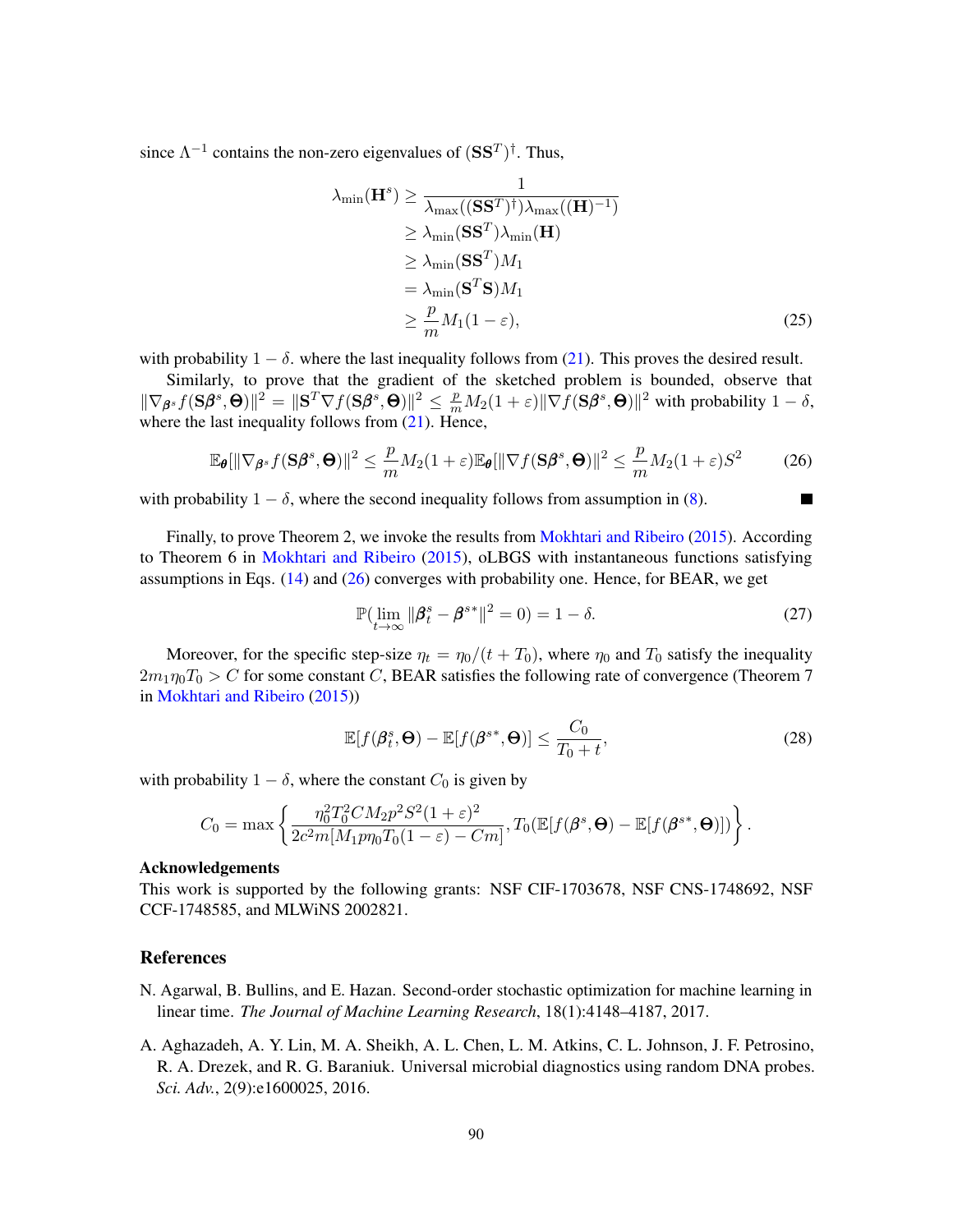since  $\Lambda^{-1}$  contains the non-zero eigenvalues of  $(SS^T)^{\dagger}$ . Thus,

$$
\lambda_{\min}(\mathbf{H}^{s}) \ge \frac{1}{\lambda_{\max}((\mathbf{S}\mathbf{S}^{T})^{\dagger})\lambda_{\max}((\mathbf{H})^{-1})}
$$
  
\n
$$
\ge \lambda_{\min}(\mathbf{S}\mathbf{S}^{T})\lambda_{\min}(\mathbf{H})
$$
  
\n
$$
\ge \lambda_{\min}(\mathbf{S}\mathbf{S}^{T})M_{1}
$$
  
\n
$$
= \lambda_{\min}(\mathbf{S}^{T}\mathbf{S})M_{1}
$$
  
\n
$$
\ge \frac{p}{m}M_{1}(1-\varepsilon),
$$
 (25)

with probability  $1 - \delta$ , where the last inequality follows from [\(21\)](#page-14-1). This proves the desired result.

Similarly, to prove that the gradient of the sketched problem is bounded, observe that  $\|\nabla_{\boldsymbol{\beta}^s} f(\mathbf{S}\boldsymbol{\beta}^s, \boldsymbol{\Theta})\|^2 = \|\mathbf{S}^T\nabla f(\mathbf{S}\boldsymbol{\beta}^s, \boldsymbol{\Theta})\|^2 \leq \frac{p}{m}M_2(1+\varepsilon)\|\nabla f(\mathbf{S}\boldsymbol{\beta}^s, \boldsymbol{\Theta})\|^2$  with probability  $1-\delta$ , where the last inequality follows from  $(21)$ . Hence,

$$
\mathbb{E}_{\pmb{\theta}}[\|\nabla_{\pmb{\beta}^s} f(\mathbf{S}\pmb{\beta}^s, \pmb{\Theta})\|^2 \le \frac{p}{m} M_2(1+\varepsilon) \mathbb{E}_{\pmb{\theta}}[\|\nabla f(\mathbf{S}\pmb{\beta}^s, \pmb{\Theta})\|^2 \le \frac{p}{m} M_2(1+\varepsilon)S^2 \tag{26}
$$

with probability  $1 - \delta$ , where the second inequality follows from assumption in [\(8\)](#page-12-2).

Finally, to prove Theorem 2, we invoke the results from [Mokhtari and Ribeiro](#page-16-5) [\(2015\)](#page-16-5). According to Theorem 6 in [Mokhtari and Ribeiro](#page-16-5) [\(2015\)](#page-16-5), oLBGS with instantaneous functions satisfying assumptions in Eqs.  $(14)$  and  $(26)$  converges with probability one. Hence, for BEAR, we get

$$
\mathbb{P}\left(\lim_{t \to \infty} \|\boldsymbol{\beta}_t^s - \boldsymbol{\beta}^{s*}\|^2 = 0\right) = 1 - \delta. \tag{27}
$$

<span id="page-15-2"></span>M

Moreover, for the specific step-size  $\eta_t = \eta_0/(t + T_0)$ , where  $\eta_0$  and  $T_0$  satisfy the inequality  $2m_1\eta_0T_0 > C$  for some constant C, BEAR satisfies the following rate of convergence (Theorem 7 in [Mokhtari and Ribeiro](#page-16-5) [\(2015\)](#page-16-5))

$$
\mathbb{E}[f(\boldsymbol{\beta}_t^s, \boldsymbol{\Theta}) - \mathbb{E}[f(\boldsymbol{\beta}^{s*}, \boldsymbol{\Theta})] \le \frac{C_0}{T_0 + t},
$$
\n(28)

with probability  $1 - \delta$ , where the constant  $C_0$  is given by

$$
C_0 = \max \left\{ \frac{\eta_0^2 T_0^2 C M_2 p^2 S^2 (1+\varepsilon)^2}{2c^2 m [M_1 p \eta_0 T_0 (1-\varepsilon) - Cm]}, T_0(\mathbb{E}[f(\boldsymbol{\beta}^s, \boldsymbol{\Theta}) - \mathbb{E}[f(\boldsymbol{\beta}^{s*}, \boldsymbol{\Theta})]) \right\}.
$$

#### Acknowledgements

This work is supported by the following grants: NSF CIF-1703678, NSF CNS-1748692, NSF CCF-1748585, and MLWiNS 2002821.

### **References**

- <span id="page-15-1"></span>N. Agarwal, B. Bullins, and E. Hazan. Second-order stochastic optimization for machine learning in linear time. *The Journal of Machine Learning Research*, 18(1):4148–4187, 2017.
- <span id="page-15-0"></span>A. Aghazadeh, A. Y. Lin, M. A. Sheikh, A. L. Chen, L. M. Atkins, C. L. Johnson, J. F. Petrosino, R. A. Drezek, and R. G. Baraniuk. Universal microbial diagnostics using random DNA probes. *Sci. Adv.*, 2(9):e1600025, 2016.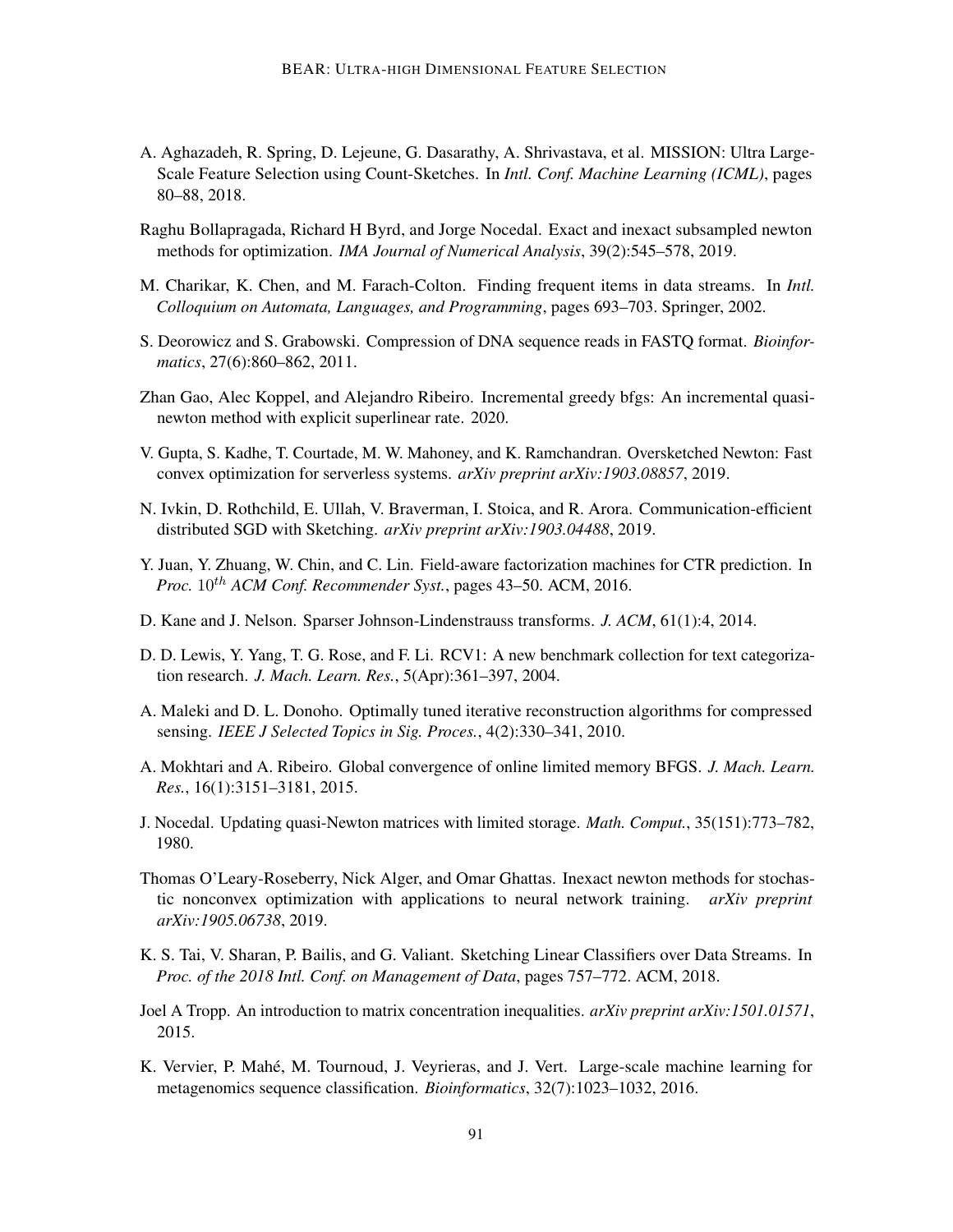- <span id="page-16-2"></span>A. Aghazadeh, R. Spring, D. Lejeune, G. Dasarathy, A. Shrivastava, et al. MISSION: Ultra Large-Scale Feature Selection using Count-Sketches. In *Intl. Conf. Machine Learning (ICML)*, pages 80–88, 2018.
- <span id="page-16-6"></span>Raghu Bollapragada, Richard H Byrd, and Jorge Nocedal. Exact and inexact subsampled newton methods for optimization. *IMA Journal of Numerical Analysis*, 39(2):545–578, 2019.
- <span id="page-16-4"></span>M. Charikar, K. Chen, and M. Farach-Colton. Finding frequent items in data streams. In *Intl. Colloquium on Automata, Languages, and Programming*, pages 693–703. Springer, 2002.
- <span id="page-16-0"></span>S. Deorowicz and S. Grabowski. Compression of DNA sequence reads in FASTQ format. *Bioinformatics*, 27(6):860–862, 2011.
- <span id="page-16-9"></span>Zhan Gao, Alec Koppel, and Alejandro Ribeiro. Incremental greedy bfgs: An incremental quasinewton method with explicit superlinear rate. 2020.
- <span id="page-16-15"></span>V. Gupta, S. Kadhe, T. Courtade, M. W. Mahoney, and K. Ramchandran. Oversketched Newton: Fast convex optimization for serverless systems. *arXiv preprint arXiv:1903.08857*, 2019.
- <span id="page-16-14"></span>N. Ivkin, D. Rothchild, E. Ullah, V. Braverman, I. Stoica, and R. Arora. Communication-efficient distributed SGD with Sketching. *arXiv preprint arXiv:1903.04488*, 2019.
- <span id="page-16-13"></span>Y. Juan, Y. Zhuang, W. Chin, and C. Lin. Field-aware factorization machines for CTR prediction. In *Proc.*  $10^{th}$  *ACM Conf. Recommender Syst.*, pages 43–50. *ACM*, 2016.
- <span id="page-16-10"></span>D. Kane and J. Nelson. Sparser Johnson-Lindenstrauss transforms. *J. ACM*, 61(1):4, 2014.
- <span id="page-16-12"></span>D. D. Lewis, Y. Yang, T. G. Rose, and F. Li. RCV1: A new benchmark collection for text categorization research. *J. Mach. Learn. Res.*, 5(Apr):361–397, 2004.
- <span id="page-16-11"></span>A. Maleki and D. L. Donoho. Optimally tuned iterative reconstruction algorithms for compressed sensing. *IEEE J Selected Topics in Sig. Proces.*, 4(2):330–341, 2010.
- <span id="page-16-5"></span>A. Mokhtari and A. Ribeiro. Global convergence of online limited memory BFGS. *J. Mach. Learn. Res.*, 16(1):3151–3181, 2015.
- <span id="page-16-8"></span>J. Nocedal. Updating quasi-Newton matrices with limited storage. *Math. Comput.*, 35(151):773–782, 1980.
- <span id="page-16-7"></span>Thomas O'Leary-Roseberry, Nick Alger, and Omar Ghattas. Inexact newton methods for stochastic nonconvex optimization with applications to neural network training. *arXiv preprint arXiv:1905.06738*, 2019.
- <span id="page-16-3"></span>K. S. Tai, V. Sharan, P. Bailis, and G. Valiant. Sketching Linear Classifiers over Data Streams. In *Proc. of the 2018 Intl. Conf. on Management of Data*, pages 757–772. ACM, 2018.
- <span id="page-16-16"></span>Joel A Tropp. An introduction to matrix concentration inequalities. *arXiv preprint arXiv:1501.01571*, 2015.
- <span id="page-16-1"></span>K. Vervier, P. Mahé, M. Tournoud, J. Veyrieras, and J. Vert. Large-scale machine learning for metagenomics sequence classification. *Bioinformatics*, 32(7):1023–1032, 2016.